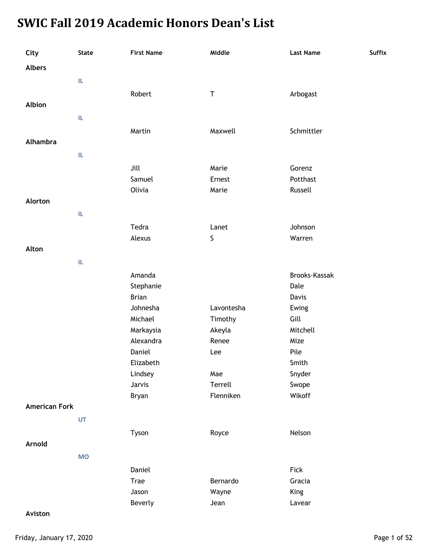# **SWIC Fall 2019 Academic Honors Dean's List**

| City                 | <b>State</b> | <b>First Name</b>    | Middle      | <b>Last Name</b>     | Suffix |
|----------------------|--------------|----------------------|-------------|----------------------|--------|
| <b>Albers</b>        |              |                      |             |                      |        |
|                      | IL           |                      |             |                      |        |
|                      |              |                      |             |                      |        |
| Albion               |              | Robert               | $\sf T$     | Arbogast             |        |
|                      |              |                      |             |                      |        |
|                      | IL.          |                      |             |                      |        |
|                      |              | Martin               | Maxwell     | Schmittler           |        |
| Alhambra             |              |                      |             |                      |        |
|                      | IL.          |                      |             |                      |        |
|                      |              | Jill                 | Marie       | Gorenz               |        |
|                      |              | Samuel               | Ernest      | Potthast             |        |
|                      |              | Olivia               | Marie       | Russell              |        |
| Alorton              |              |                      |             |                      |        |
|                      | IL.          |                      |             |                      |        |
|                      |              | Tedra                | Lanet       | Johnson              |        |
|                      |              | Alexus               | $\mathsf S$ | Warren               |        |
| Alton                |              |                      |             |                      |        |
|                      | IL.          |                      |             |                      |        |
|                      |              |                      |             |                      |        |
|                      |              | Amanda               |             | <b>Brooks-Kassak</b> |        |
|                      |              | Stephanie            |             | Dale                 |        |
|                      |              | <b>Brian</b>         |             | Davis                |        |
|                      |              | Johnesha             | Lavontesha  | Ewing                |        |
|                      |              | Michael              | Timothy     | Gill                 |        |
|                      |              | Markaysia            | Akeyla      | Mitchell             |        |
|                      |              | Alexandra            | Renee       | Mize                 |        |
|                      |              | Daniel               | Lee         | Pile                 |        |
|                      |              | Elizabeth<br>Lindsey | Mae         | Smith<br>Snyder      |        |
|                      |              | Jarvis               | Terrell     | Swope                |        |
|                      |              | Bryan                | Flenniken   | Wikoff               |        |
| <b>American Fork</b> |              |                      |             |                      |        |
|                      |              |                      |             |                      |        |
|                      | UT           |                      |             |                      |        |
|                      |              | Tyson                | Royce       | Nelson               |        |
| Arnold               |              |                      |             |                      |        |
|                      | <b>MO</b>    |                      |             |                      |        |
|                      |              | Daniel               |             | Fick                 |        |
|                      |              | Trae                 | Bernardo    | Gracia               |        |
|                      |              | Jason                | Wayne       | King                 |        |
|                      |              | Beverly              | Jean        | Lavear               |        |
|                      |              |                      |             |                      |        |

## **Aviston**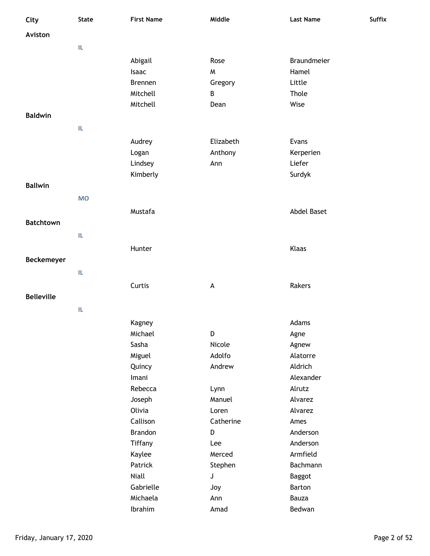| City              | <b>State</b> | <b>First Name</b> | Middle    | <b>Last Name</b>   | Suffix |
|-------------------|--------------|-------------------|-----------|--------------------|--------|
| Aviston           |              |                   |           |                    |        |
|                   | IL           |                   |           |                    |        |
|                   |              | Abigail           | Rose      | Braundmeier        |        |
|                   |              | Isaac             | M         | Hamel              |        |
|                   |              | <b>Brennen</b>    | Gregory   | Little             |        |
|                   |              | Mitchell          | B         | Thole              |        |
|                   |              | Mitchell          | Dean      | Wise               |        |
| <b>Baldwin</b>    |              |                   |           |                    |        |
|                   | IL.          |                   |           |                    |        |
|                   |              |                   |           |                    |        |
|                   |              | Audrey            | Elizabeth | Evans              |        |
|                   |              | Logan             | Anthony   | Kerperien          |        |
|                   |              | Lindsey           | Ann       | Liefer             |        |
|                   |              | Kimberly          |           | Surdyk             |        |
| <b>Ballwin</b>    |              |                   |           |                    |        |
|                   | <b>MO</b>    |                   |           |                    |        |
|                   |              | Mustafa           |           | <b>Abdel Baset</b> |        |
| <b>Batchtown</b>  |              |                   |           |                    |        |
|                   | IL.          |                   |           |                    |        |
|                   |              | Hunter            |           | Klaas              |        |
| Beckemeyer        |              |                   |           |                    |        |
|                   |              |                   |           |                    |        |
|                   | IL.          |                   |           |                    |        |
|                   |              | Curtis            | A         | Rakers             |        |
| <b>Belleville</b> |              |                   |           |                    |        |
|                   | IL           |                   |           |                    |        |
|                   |              | Kagney            |           | Adams              |        |
|                   |              | Michael           | D         | Agne               |        |
|                   |              | Sasha             | Nicole    | Agnew              |        |
|                   |              | Miguel            | Adolfo    | Alatorre           |        |
|                   |              | Quincy            | Andrew    | Aldrich            |        |
|                   |              | Imani             |           | Alexander          |        |
|                   |              | Rebecca           | Lynn      | Alrutz             |        |
|                   |              | Joseph            | Manuel    | Alvarez            |        |
|                   |              | Olivia            | Loren     | Alvarez            |        |
|                   |              | Callison          | Catherine | Ames               |        |
|                   |              | <b>Brandon</b>    | D         | Anderson           |        |
|                   |              | Tiffany           | Lee       | Anderson           |        |
|                   |              | Kaylee            | Merced    | Armfield           |        |
|                   |              | Patrick           | Stephen   | Bachmann           |        |
|                   |              | Niall             | J         | Baggot             |        |
|                   |              | Gabrielle         | Joy       | Barton             |        |
|                   |              | Michaela          | Ann       | Bauza              |        |
|                   |              | Ibrahim           | Amad      | Bedwan             |        |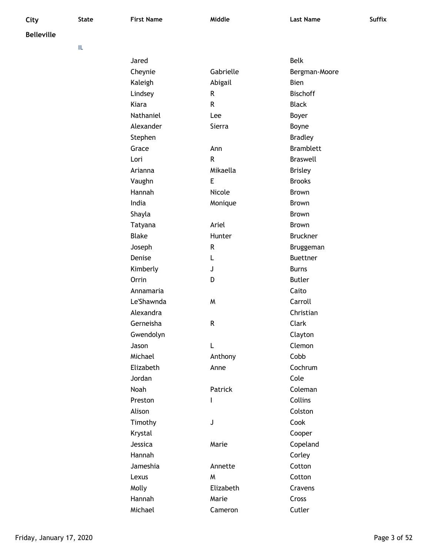**Belleville**

| Jared        |           | <b>Belk</b>      |
|--------------|-----------|------------------|
| Cheynie      | Gabrielle | Bergman-Moore    |
| Kaleigh      | Abigail   | <b>Bien</b>      |
| Lindsey      | R         | <b>Bischoff</b>  |
| Kiara        | R         | <b>Black</b>     |
| Nathaniel    | Lee       | Boyer            |
| Alexander    | Sierra    | Boyne            |
| Stephen      |           | <b>Bradley</b>   |
| Grace        | Ann       | <b>Bramblett</b> |
| Lori         | R         | <b>Braswell</b>  |
| Arianna      | Mikaella  | <b>Brisley</b>   |
| Vaughn       | E         | <b>Brooks</b>    |
| Hannah       | Nicole    | <b>Brown</b>     |
| India        | Monique   | <b>Brown</b>     |
| Shayla       |           | <b>Brown</b>     |
| Tatyana      | Ariel     | <b>Brown</b>     |
| <b>Blake</b> | Hunter    | <b>Bruckner</b>  |
| Joseph       | R         | <b>Bruggeman</b> |
| Denise       | L         | <b>Buettner</b>  |
| Kimberly     | J         | <b>Burns</b>     |
| Orrin        | D         | <b>Butler</b>    |
| Annamaria    |           | Caito            |
| Le'Shawnda   | W         | Carroll          |
| Alexandra    |           | Christian        |
| Gerneisha    | R         | Clark            |
| Gwendolyn    |           | Clayton          |
| Jason        | L         | Clemon           |
| Michael      | Anthony   | Cobb             |
| Elizabeth    | Anne      | Cochrum          |
| Jordan       |           | Cole             |
| Noah         | Patrick   | Coleman          |
| Preston      | I         | Collins          |
| Alison       |           | Colston          |
| Timothy      | J         | Cook             |
| Krystal      |           | Cooper           |
| Jessica      | Marie     | Copeland         |
| Hannah       |           | Corley           |
| Jameshia     | Annette   | Cotton           |
| Lexus        | M         | Cotton           |
| Molly        | Elizabeth | Cravens          |
| Hannah       | Marie     | Cross            |
| Michael      | Cameron   | Cutler           |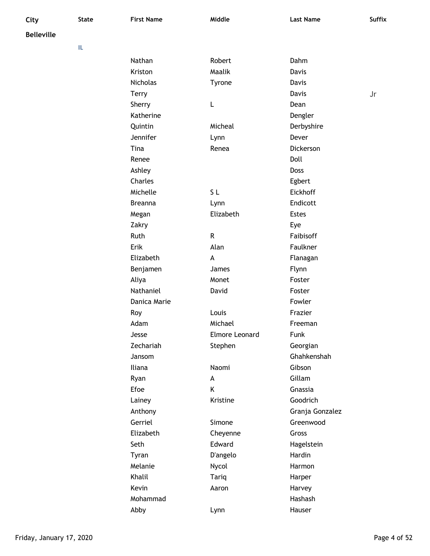| City              | <b>State</b> | <b>First Name</b> | Middle         | <b>Last Name</b> | <b>Suffix</b> |
|-------------------|--------------|-------------------|----------------|------------------|---------------|
| <b>Belleville</b> |              |                   |                |                  |               |
|                   | IL.          |                   |                |                  |               |
|                   |              | Nathan            | Robert         | Dahm             |               |
|                   |              | Kriston           | Maalik         | Davis            |               |
|                   |              | Nicholas          | Tyrone         | Davis            |               |
|                   |              | <b>Terry</b>      |                | Davis            | Jr            |
|                   |              | Sherry            | L              | Dean             |               |
|                   |              | Katherine         |                | Dengler          |               |
|                   |              | Quintin           | Micheal        | Derbyshire       |               |
|                   |              | Jennifer          | Lynn           | Dever            |               |
|                   |              | Tina              | Renea          | Dickerson        |               |
|                   |              | Renee             |                | Doll             |               |
|                   |              | Ashley            |                | Doss             |               |
|                   |              | Charles           |                | Egbert           |               |
|                   |              | Michelle          | SL             | Eickhoff         |               |
|                   |              | <b>Breanna</b>    | Lynn           | Endicott         |               |
|                   |              | Megan             | Elizabeth      | Estes            |               |
|                   |              | Zakry             |                | Eye              |               |
|                   |              | Ruth              | ${\sf R}$      | Faibisoff        |               |
|                   |              | Erik              | Alan           | Faulkner         |               |
|                   |              | Elizabeth         | A              | Flanagan         |               |
|                   |              | Benjamen          | James          | Flynn            |               |
|                   |              | Aliya             | Monet          | Foster           |               |
|                   |              | Nathaniel         | David          | Foster           |               |
|                   |              | Danica Marie      |                | Fowler           |               |
|                   |              | Roy               | Louis          | Frazier          |               |
|                   |              | Adam              | Michael        | Freeman          |               |
|                   |              | Jesse             | Elmore Leonard | Funk             |               |
|                   |              | Zechariah         | Stephen        | Georgian         |               |
|                   |              | Jansom            |                | Ghahkenshah      |               |
|                   |              | Iliana            | Naomi          | Gibson           |               |
|                   |              | Ryan              | А              | Gillam           |               |
|                   |              | Efoe              | Κ              | Gnassia          |               |
|                   |              | Lainey            | Kristine       | Goodrich         |               |
|                   |              | Anthony           |                | Granja Gonzalez  |               |
|                   |              | Gerriel           | Simone         | Greenwood        |               |
|                   |              | Elizabeth         | Cheyenne       | Gross            |               |
|                   |              | Seth              | Edward         | Hagelstein       |               |
|                   |              | Tyran             | D'angelo       | Hardin           |               |
|                   |              | Melanie           | Nycol          | Harmon           |               |
|                   |              | Khalil            | Tariq          | Harper           |               |
|                   |              | Kevin             | Aaron          | Harvey           |               |
|                   |              | Mohammad          |                | Hashash          |               |
|                   |              | Abby              | Lynn           | Hauser           |               |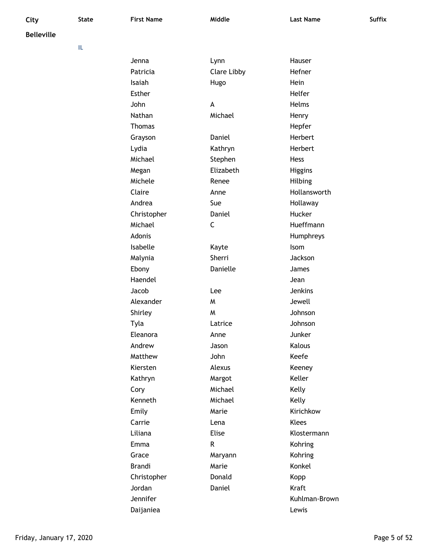| Jenna         | Lynn          | Hauser         |
|---------------|---------------|----------------|
| Patricia      | Clare Libby   | Hefner         |
| Isaiah        | Hugo          | Hein           |
| <b>Esther</b> |               | Helfer         |
| John          | A             | Helms          |
| Nathan        | Michael       | Henry          |
| <b>Thomas</b> |               | Hepfer         |
| Grayson       | Daniel        | Herbert        |
| Lydia         | Kathryn       | Herbert        |
| Michael       | Stephen       | Hess           |
| Megan         | Elizabeth     | <b>Higgins</b> |
| Michele       | Renee         | <b>Hilbing</b> |
| Claire        | Anne          | Hollansworth   |
| Andrea        | Sue           | Hollaway       |
| Christopher   | Daniel        | Hucker         |
| Michael       | C             | Hueffmann      |
| Adonis        |               | Humphreys      |
| Isabelle      | Kayte         | Isom           |
| Malynia       | <b>Sherri</b> | Jackson        |
| Ebony         | Danielle      | James          |
| Haendel       |               | Jean           |
| Jacob         | Lee           | <b>Jenkins</b> |
| Alexander     | M             | Jewell         |
| Shirley       | M             | Johnson        |
| Tyla          | Latrice       | Johnson        |
| Eleanora      | Anne          | Junker         |
| Andrew        | Jason         | Kalous         |
| Matthew       | John          | Keefe          |
| Kiersten      | Alexus        | Keeney         |
| Kathryn       | Margot        | Keller         |
| Cory          | Michael       | Kelly          |
| Kenneth       | Michael       | Kelly          |
| Emily         | Marie         | Kirichkow      |
| Carrie        | Lena          | <b>Klees</b>   |
| Liliana       | Elise         | Klostermann    |
| Emma          | R             | Kohring        |
| Grace         | Maryann       | Kohring        |
| <b>Brandi</b> | Marie         | Konkel         |
| Christopher   | Donald        | Kopp           |
| Jordan        | Daniel        | <b>Kraft</b>   |
| Jennifer      |               | Kuhlman-Brown  |
| Daijaniea     |               | Lewis          |
|               |               |                |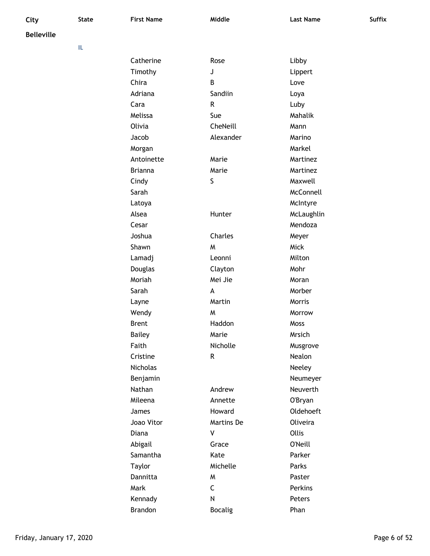| City              | State | <b>First Name</b> | Middle            | <b>Last Name</b> | Suffix |
|-------------------|-------|-------------------|-------------------|------------------|--------|
| <b>Belleville</b> |       |                   |                   |                  |        |
|                   | IL.   |                   |                   |                  |        |
|                   |       | Catherine         | Rose              | Libby            |        |
|                   |       | Timothy           | J                 | Lippert          |        |
|                   |       | Chira             | B                 | Love             |        |
|                   |       | Adriana           | Sandiin           | Loya             |        |
|                   |       | Cara              | ${\sf R}$         | Luby             |        |
|                   |       | Melissa           | Sue               | Mahalik          |        |
|                   |       | Olivia            | CheNeill          | Mann             |        |
|                   |       | Jacob             | Alexander         | Marino           |        |
|                   |       | Morgan            |                   | Markel           |        |
|                   |       | Antoinette        | Marie             | Martinez         |        |
|                   |       | <b>Brianna</b>    | Marie             | Martinez         |        |
|                   |       | Cindy             | $\mathsf S$       | Maxwell          |        |
|                   |       | Sarah             |                   | McConnell        |        |
|                   |       | Latoya            |                   | McIntyre         |        |
|                   |       | Alsea             | Hunter            | McLaughlin       |        |
|                   |       | Cesar             |                   | Mendoza          |        |
|                   |       | Joshua            | Charles           | Meyer            |        |
|                   |       | Shawn             | W                 | Mick             |        |
|                   |       | Lamadj            | Leonni            | Milton           |        |
|                   |       | Douglas           | Clayton           | Mohr             |        |
|                   |       | Moriah            | Mei Jie           | Moran            |        |
|                   |       | Sarah             | A                 | Morber           |        |
|                   |       | Layne             | Martin            | Morris           |        |
|                   |       | Wendy             | W                 | Morrow           |        |
|                   |       | <b>Brent</b>      | Haddon            | Moss             |        |
|                   |       | <b>Bailey</b>     | Marie             | Mrsich           |        |
|                   |       | Faith             | Nicholle          | Musgrove         |        |
|                   |       | Cristine          | ${\sf R}$         | Nealon           |        |
|                   |       | Nicholas          |                   | Neeley           |        |
|                   |       | Benjamin          |                   | Neumeyer         |        |
|                   |       | Nathan            | Andrew            | Neuverth         |        |
|                   |       | Mileena           | Annette           | O'Bryan          |        |
|                   |       | James             | Howard            | Oldehoeft        |        |
|                   |       | Joao Vitor        | <b>Martins De</b> | Oliveira         |        |
|                   |       | Diana             | $\sf V$           | Ollis            |        |
|                   |       | Abigail           | Grace             | <b>O'Neill</b>   |        |
|                   |       | Samantha          | Kate              | Parker           |        |
|                   |       | Taylor            | Michelle          | Parks            |        |
|                   |       | Dannitta          | W                 | Paster           |        |
|                   |       | Mark              | $\mathsf C$       | Perkins          |        |
|                   |       | Kennady           | ${\sf N}$         | Peters           |        |
|                   |       | Brandon           | <b>Bocalig</b>    | Phan             |        |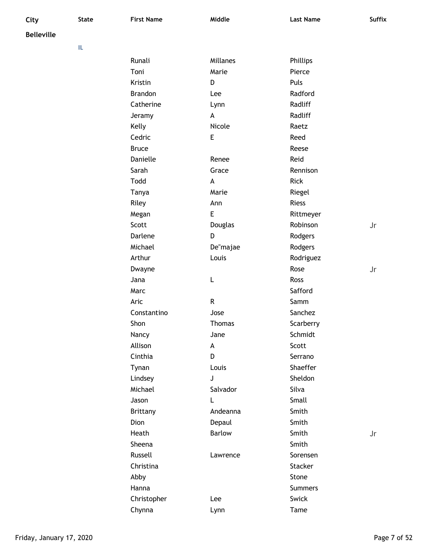| City              | <b>State</b> | <b>First Name</b>  | Middle        | <b>Last Name</b>       | <b>Suffix</b> |
|-------------------|--------------|--------------------|---------------|------------------------|---------------|
| <b>Belleville</b> |              |                    |               |                        |               |
|                   | IL           |                    |               |                        |               |
|                   |              | Runali             | Millanes      | Phillips               |               |
|                   |              | Toni               | Marie         | Pierce                 |               |
|                   |              | Kristin            | D             | Puls                   |               |
|                   |              | <b>Brandon</b>     | Lee           | Radford                |               |
|                   |              | Catherine          | Lynn          | Radliff                |               |
|                   |              | Jeramy             | A             | Radliff                |               |
|                   |              | Kelly              | Nicole        | Raetz                  |               |
|                   |              | Cedric             | E             | Reed                   |               |
|                   |              | <b>Bruce</b>       |               | Reese                  |               |
|                   |              | Danielle           | Renee         | Reid                   |               |
|                   |              | Sarah              | Grace         | Rennison               |               |
|                   |              | Todd               | A             | Rick                   |               |
|                   |              |                    | Marie         |                        |               |
|                   |              | Tanya              | Ann           | Riegel<br><b>Riess</b> |               |
|                   |              | Riley              | $\mathsf E$   |                        |               |
|                   |              | Megan<br>Scott     |               | Rittmeyer<br>Robinson  |               |
|                   |              | Darlene            | Douglas<br>D  |                        | Jr            |
|                   |              | Michael            |               | Rodgers                |               |
|                   |              |                    | De"majae      | Rodgers                |               |
|                   |              | Arthur             | Louis         | Rodriguez              |               |
|                   |              | Dwayne             |               | Rose                   | Jr            |
|                   |              | Jana               | L             | Ross                   |               |
|                   |              | Marc               |               | Safford                |               |
|                   |              | Aric               | ${\sf R}$     | Samm                   |               |
|                   |              | Constantino        | Jose          | Sanchez                |               |
|                   |              | Shon               | Thomas        | Scarberry              |               |
|                   |              | Nancy              | Jane          | Schmidt                |               |
|                   |              | Allison<br>Cinthia | A             | Scott                  |               |
|                   |              |                    | D             | Serrano                |               |
|                   |              | Tynan              | Louis         | Shaeffer               |               |
|                   |              | Lindsey            | J             | Sheldon                |               |
|                   |              | Michael            | Salvador      | Silva                  |               |
|                   |              | Jason              | L             | Small                  |               |
|                   |              | <b>Brittany</b>    | Andeanna      | Smith                  |               |
|                   |              | Dion               | Depaul        | Smith                  |               |
|                   |              | Heath              | <b>Barlow</b> | Smith                  | Jr            |
|                   |              | Sheena             |               | Smith                  |               |
|                   |              | Russell            | Lawrence      | Sorensen               |               |
|                   |              | Christina          |               | Stacker                |               |
|                   |              | Abby               |               | Stone                  |               |
|                   |              | Hanna              |               | Summers                |               |
|                   |              | Christopher        | Lee           | Swick                  |               |
|                   |              | Chynna             | Lynn          | Tame                   |               |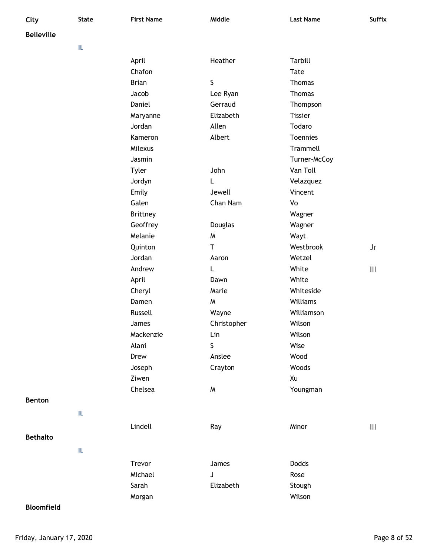| City              | <b>State</b> | <b>First Name</b> | Middle      | <b>Last Name</b> | Suffix                                |
|-------------------|--------------|-------------------|-------------|------------------|---------------------------------------|
| <b>Belleville</b> |              |                   |             |                  |                                       |
|                   | IL.          |                   |             |                  |                                       |
|                   |              | April             | Heather     | Tarbill          |                                       |
|                   |              | Chafon            |             | <b>Tate</b>      |                                       |
|                   |              | <b>Brian</b>      | $\sf S$     | <b>Thomas</b>    |                                       |
|                   |              | Jacob             | Lee Ryan    | <b>Thomas</b>    |                                       |
|                   |              | Daniel            | Gerraud     | Thompson         |                                       |
|                   |              | Maryanne          | Elizabeth   | <b>Tissier</b>   |                                       |
|                   |              | Jordan            | Allen       | Todaro           |                                       |
|                   |              | Kameron           | Albert      | Toennies         |                                       |
|                   |              | Milexus           |             | Trammell         |                                       |
|                   |              | Jasmin            |             | Turner-McCoy     |                                       |
|                   |              |                   | John        | Van Toll         |                                       |
|                   |              | Tyler             |             |                  |                                       |
|                   |              | Jordyn            | L           | Velazquez        |                                       |
|                   |              | Emily             | Jewell      | Vincent          |                                       |
|                   |              | Galen             | Chan Nam    | Vo               |                                       |
|                   |              | <b>Brittney</b>   |             | Wagner           |                                       |
|                   |              | Geoffrey          | Douglas     | Wagner           |                                       |
|                   |              | Melanie           | M           | Wayt             |                                       |
|                   |              | Quinton           | T           | Westbrook        | Jr                                    |
|                   |              | Jordan            | Aaron       | Wetzel           |                                       |
|                   |              | Andrew            | L           | White            | $\begin{array}{c} \hline \end{array}$ |
|                   |              | April             | Dawn        | White            |                                       |
|                   |              | Cheryl            | Marie       | Whiteside        |                                       |
|                   |              | Damen             | M           | Williams         |                                       |
|                   |              | Russell           | Wayne       | Williamson       |                                       |
|                   |              | James             | Christopher | Wilson           |                                       |
|                   |              | Mackenzie         | Lin         | Wilson           |                                       |
|                   |              | Alani             | S           | Wise             |                                       |
|                   |              | Drew              | Anslee      | Wood             |                                       |
|                   |              | Joseph            | Crayton     | Woods            |                                       |
|                   |              | Ziwen             |             | Xu               |                                       |
|                   |              | Chelsea           | W           | Youngman         |                                       |
| <b>Benton</b>     |              |                   |             |                  |                                       |
|                   | IL.          |                   |             |                  |                                       |
|                   |              | Lindell           | Ray         | Minor            | $\begin{array}{c} \hline \end{array}$ |
| <b>Bethalto</b>   |              |                   |             |                  |                                       |
|                   | IL           |                   |             |                  |                                       |
|                   |              |                   |             |                  |                                       |
|                   |              | Trevor            | James       | <b>Dodds</b>     |                                       |
|                   |              | Michael           | J           | Rose             |                                       |
|                   |              | Sarah             | Elizabeth   | Stough           |                                       |
|                   |              | Morgan            |             | Wilson           |                                       |
| <b>Bloomfield</b> |              |                   |             |                  |                                       |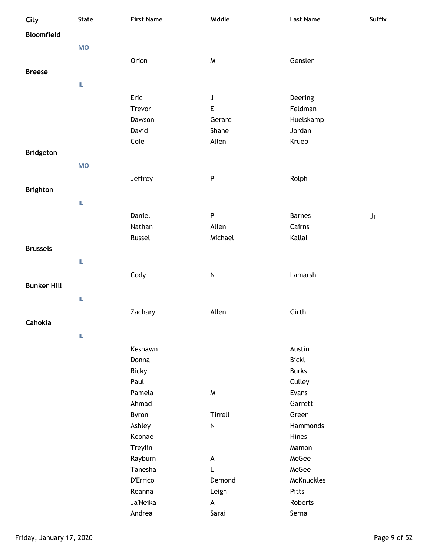| City               | <b>State</b> | <b>First Name</b> | Middle                    | <b>Last Name</b> | <b>Suffix</b> |
|--------------------|--------------|-------------------|---------------------------|------------------|---------------|
| <b>Bloomfield</b>  |              |                   |                           |                  |               |
|                    | <b>MO</b>    |                   |                           |                  |               |
|                    |              | Orion             | M                         | Gensler          |               |
| <b>Breese</b>      |              |                   |                           |                  |               |
|                    | IL.          |                   |                           |                  |               |
|                    |              | Eric              | $\mathsf J$               | Deering          |               |
|                    |              | Trevor            | $\mathsf E$               | Feldman          |               |
|                    |              | Dawson            | Gerard                    | Huelskamp        |               |
|                    |              | David             | Shane                     | Jordan           |               |
|                    |              | Cole              | Allen                     | Kruep            |               |
| <b>Bridgeton</b>   |              |                   |                           |                  |               |
|                    | <b>MO</b>    |                   |                           |                  |               |
|                    |              | Jeffrey           | ${\sf P}$                 | Rolph            |               |
| <b>Brighton</b>    |              |                   |                           |                  |               |
|                    |              |                   |                           |                  |               |
|                    | IL.          |                   |                           |                  |               |
|                    |              | Daniel            | $\boldsymbol{\mathsf{P}}$ | <b>Barnes</b>    | Jr            |
|                    |              | Nathan            | Allen                     | Cairns           |               |
|                    |              | Russel            | Michael                   | Kallal           |               |
| <b>Brussels</b>    |              |                   |                           |                  |               |
|                    | IL.          |                   |                           |                  |               |
|                    |              | Cody              | $\mathsf{N}$              | Lamarsh          |               |
| <b>Bunker Hill</b> |              |                   |                           |                  |               |
|                    | IL.          |                   |                           |                  |               |
|                    |              | Zachary           | Allen                     | Girth            |               |
| Cahokia            |              |                   |                           |                  |               |
|                    | IL.          |                   |                           |                  |               |
|                    |              | Keshawn           |                           | Austin           |               |
|                    |              | Donna             |                           | <b>Bickl</b>     |               |
|                    |              | Ricky             |                           | <b>Burks</b>     |               |
|                    |              | Paul              |                           | Culley           |               |
|                    |              | Pamela            | M                         | Evans            |               |
|                    |              | Ahmad             |                           | Garrett          |               |
|                    |              | Byron             | Tirrell                   | Green            |               |
|                    |              | Ashley            | ${\sf N}$                 | Hammonds         |               |
|                    |              | Keonae            |                           | Hines            |               |
|                    |              | Treylin           |                           | Mamon            |               |
|                    |              | Rayburn           | $\pmb{\mathsf{A}}$        | McGee            |               |
|                    |              | Tanesha           | L                         | McGee            |               |
|                    |              | D'Errico          | Demond                    | McKnuckles       |               |
|                    |              | Reanna            | Leigh                     | Pitts            |               |
|                    |              | Ja'Neika          | $\boldsymbol{\mathsf{A}}$ | Roberts          |               |
|                    |              | Andrea            | Sarai                     | Serna            |               |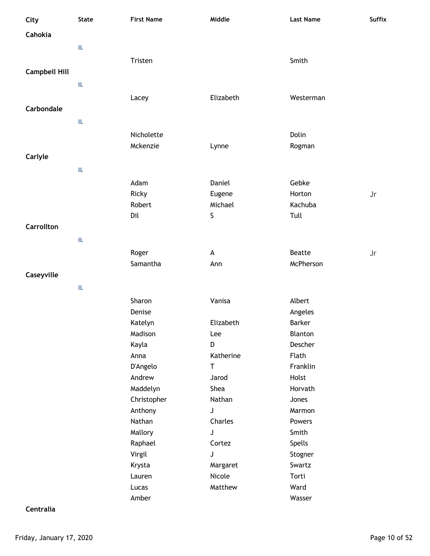| City                 | <b>State</b> | <b>First Name</b> | Middle         | <b>Last Name</b>   | <b>Suffix</b> |
|----------------------|--------------|-------------------|----------------|--------------------|---------------|
| Cahokia              |              |                   |                |                    |               |
|                      | IL           |                   |                |                    |               |
|                      |              | Tristen           |                | Smith              |               |
| <b>Campbell Hill</b> |              |                   |                |                    |               |
|                      |              |                   |                |                    |               |
|                      | IL           |                   |                |                    |               |
|                      |              | Lacey             | Elizabeth      | Westerman          |               |
| Carbondale           |              |                   |                |                    |               |
|                      | IL.          |                   |                |                    |               |
|                      |              | Nicholette        |                | Dolin              |               |
|                      |              | Mckenzie          | Lynne          | Rogman             |               |
| Carlyle              |              |                   |                |                    |               |
|                      | IL           |                   |                |                    |               |
|                      |              | Adam              | Daniel         | Gebke              |               |
|                      |              | Ricky             | Eugene         | Horton             | Jr            |
|                      |              | Robert            | Michael        | Kachuba            |               |
|                      |              | Dil               | S              | Tull               |               |
| <b>Carrollton</b>    |              |                   |                |                    |               |
|                      | IL.          |                   |                |                    |               |
|                      |              | Roger             | A              | <b>Beatte</b>      | Jr            |
|                      |              | Samantha          | Ann            | McPherson          |               |
| Caseyville           |              |                   |                |                    |               |
|                      |              |                   |                |                    |               |
|                      | IL           |                   |                |                    |               |
|                      |              | Sharon            | Vanisa         | Albert             |               |
|                      |              | Denise            |                | Angeles            |               |
|                      |              | Katelyn           | Elizabeth      | <b>Barker</b>      |               |
|                      |              | Madison           | Lee            | Blanton<br>Descher |               |
|                      |              | Kayla<br>Anna     | D<br>Katherine | Flath              |               |
|                      |              | D'Angelo          | Τ              | Franklin           |               |
|                      |              | Andrew            | Jarod          | Holst              |               |
|                      |              | Maddelyn          | Shea           | Horvath            |               |
|                      |              | Christopher       | Nathan         | Jones              |               |
|                      |              | Anthony           | J              | Marmon             |               |
|                      |              | Nathan            | Charles        | Powers             |               |
|                      |              | Mallory           | J              | Smith              |               |
|                      |              | Raphael           | Cortez         | Spells             |               |
|                      |              | Virgil            | J              | Stogner            |               |
|                      |              | Krysta            | Margaret       | Swartz             |               |
|                      |              | Lauren            | Nicole         | Torti              |               |
|                      |              | Lucas             | Matthew        | Ward               |               |
|                      |              | Amber             |                | Wasser             |               |
|                      |              |                   |                |                    |               |

## **Centralia**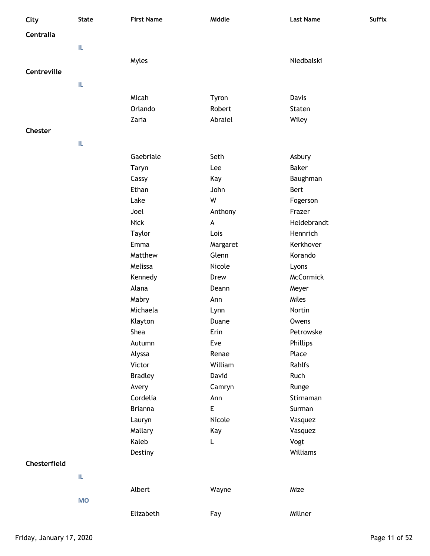| City         | <b>State</b> | <b>First Name</b> | Middle   | <b>Last Name</b> | Suffix |
|--------------|--------------|-------------------|----------|------------------|--------|
| Centralia    |              |                   |          |                  |        |
|              | IL           |                   |          |                  |        |
|              |              |                   |          |                  |        |
|              |              | Myles             |          | Niedbalski       |        |
| Centreville  |              |                   |          |                  |        |
|              | IL           |                   |          |                  |        |
|              |              | Micah             | Tyron    | Davis            |        |
|              |              | Orlando           | Robert   | Staten           |        |
|              |              | Zaria             | Abraiel  | Wiley            |        |
| Chester      |              |                   |          |                  |        |
|              | IL           |                   |          |                  |        |
|              |              | Gaebriale         | Seth     | Asbury           |        |
|              |              | Taryn             | Lee      | <b>Baker</b>     |        |
|              |              | Cassy             | Kay      | Baughman         |        |
|              |              | Ethan             | John     | Bert             |        |
|              |              | Lake              | W        | Fogerson         |        |
|              |              | Joel              | Anthony  | Frazer           |        |
|              |              | <b>Nick</b>       | A        | Heldebrandt      |        |
|              |              | Taylor            | Lois     | Hennrich         |        |
|              |              | Emma              | Margaret | Kerkhover        |        |
|              |              | Matthew           | Glenn    | Korando          |        |
|              |              | Melissa           | Nicole   | Lyons            |        |
|              |              | Kennedy           | Drew     | <b>McCormick</b> |        |
|              |              | Alana             | Deann    | Meyer            |        |
|              |              | Mabry             | Ann      | Miles            |        |
|              |              | Michaela          | Lynn     | Nortin           |        |
|              |              | Klayton           | Duane    | Owens            |        |
|              |              | Shea              | Erin     | Petrowske        |        |
|              |              | Autumn            | Eve      | Phillips         |        |
|              |              | Alyssa            | Renae    | Place            |        |
|              |              | Victor            | William  | Rahlfs           |        |
|              |              | <b>Bradley</b>    | David    | Ruch             |        |
|              |              | Avery             | Camryn   | Runge            |        |
|              |              | Cordelia          | Ann      | Stirnaman        |        |
|              |              | <b>Brianna</b>    | E        | Surman           |        |
|              |              | Lauryn            | Nicole   | Vasquez          |        |
|              |              | Mallary           | Kay      | Vasquez          |        |
|              |              | Kaleb             | L        | Vogt             |        |
|              |              | Destiny           |          | Williams         |        |
| Chesterfield |              |                   |          |                  |        |
|              | IL.          |                   |          |                  |        |
|              |              | Albert            | Wayne    | Mize             |        |
|              | <b>MO</b>    |                   |          |                  |        |
|              |              | Elizabeth         | Fay      | Millner          |        |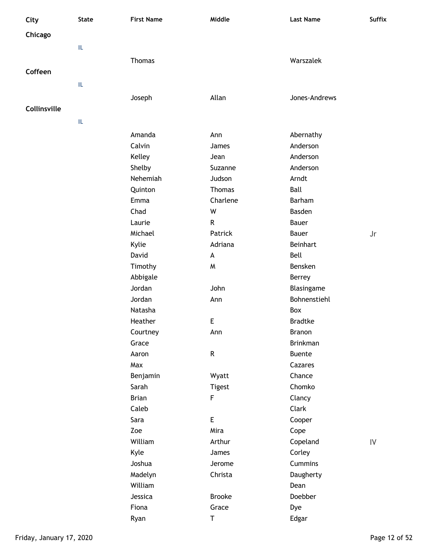| City         | <b>State</b> | <b>First Name</b>     | Middle                | <b>Last Name</b> | <b>Suffix</b> |
|--------------|--------------|-----------------------|-----------------------|------------------|---------------|
| Chicago      |              |                       |                       |                  |               |
|              | IL.          |                       |                       |                  |               |
|              |              |                       |                       |                  |               |
| Coffeen      |              | <b>Thomas</b>         |                       | Warszalek        |               |
|              |              |                       |                       |                  |               |
|              | IL.          |                       |                       |                  |               |
|              |              | Joseph                | Allan                 | Jones-Andrews    |               |
| Collinsville |              |                       |                       |                  |               |
|              | IL.          |                       |                       |                  |               |
|              |              | Amanda                | Ann                   | Abernathy        |               |
|              |              | Calvin                | James                 | Anderson         |               |
|              |              | Kelley                | Jean                  | Anderson         |               |
|              |              | Shelby                | Suzanne               | Anderson         |               |
|              |              | Nehemiah              | Judson                | Arndt            |               |
|              |              | Quinton               | Thomas                | Ball             |               |
|              |              | Emma                  | Charlene              | Barham           |               |
|              |              | Chad                  | W                     | <b>Basden</b>    |               |
|              |              | Laurie                | R                     | Bauer            |               |
|              |              | Michael               | Patrick               | Bauer            | Jr            |
|              |              | Kylie                 | Adriana               | <b>Beinhart</b>  |               |
|              |              | David                 | A                     | Bell             |               |
|              |              | Timothy               | W                     | Bensken          |               |
|              |              | Abbigale              |                       | Berrey           |               |
|              |              | Jordan                | John                  | Blasingame       |               |
|              |              | Jordan                | Ann                   | Bohnenstiehl     |               |
|              |              | Natasha               |                       | Box              |               |
|              |              | Heather               | E                     | <b>Bradtke</b>   |               |
|              |              | Courtney              | Ann                   | Branon           |               |
|              |              | Grace                 |                       | <b>Brinkman</b>  |               |
|              |              | Aaron                 | ${\sf R}$             | Buente           |               |
|              |              | Max                   |                       | Cazares          |               |
|              |              | Benjamin              | Wyatt                 | Chance           |               |
|              |              | Sarah<br><b>Brian</b> | Tigest<br>$\mathsf F$ | Chomko           |               |
|              |              | Caleb                 |                       | Clancy<br>Clark  |               |
|              |              | Sara                  | $\mathsf E$           | Cooper           |               |
|              |              | Zoe                   | Mira                  | Cope             |               |
|              |              | William               | Arthur                | Copeland         | ${\sf IV}$    |
|              |              | Kyle                  | James                 | Corley           |               |
|              |              | Joshua                | Jerome                | Cummins          |               |
|              |              | Madelyn               | Christa               | Daugherty        |               |
|              |              | William               |                       | Dean             |               |
|              |              | Jessica               | <b>Brooke</b>         | Doebber          |               |
|              |              | Fiona                 | Grace                 | Dye              |               |
|              |              | Ryan                  | T                     | Edgar            |               |
|              |              |                       |                       |                  |               |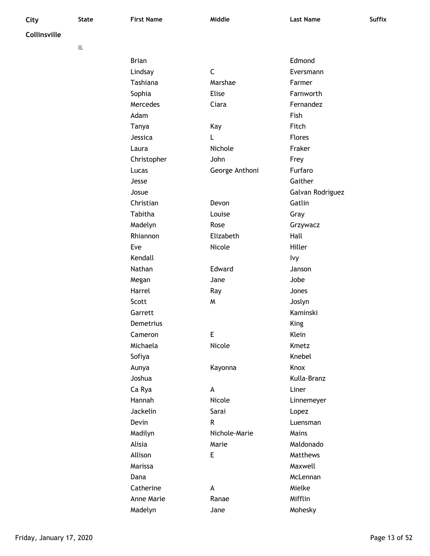**Collinsville**

| <b>Brian</b>  |                | Edmond           |
|---------------|----------------|------------------|
| Lindsay       | C              | Eversmann        |
| Tashiana      | Marshae        | Farmer           |
| Sophia        | <b>Elise</b>   | Farnworth        |
| Mercedes      | Ciara          | Fernandez        |
| Adam          |                | Fish             |
| Tanya         | Kay            | Fitch            |
| Jessica       | L              | <b>Flores</b>    |
| Laura         | Nichole        | Fraker           |
| Christopher   | John           | Frey             |
| Lucas         | George Anthoni | Furfaro          |
| Jesse         |                | Gaither          |
| Josue         |                | Galvan Rodriguez |
| Christian     | Devon          | Gatlin           |
| Tabitha       | Louise         | Gray             |
| Madelyn       | Rose           | Grzywacz         |
| Rhiannon      | Elizabeth      | Hall             |
| Eve           | Nicole         | <b>Hiller</b>    |
| Kendall       |                | Ivy              |
| Nathan        | Edward         | Janson           |
| Megan         | Jane           | Jobe             |
| Harrel        | Ray            | Jones            |
| Scott         | W              | Joslyn           |
| Garrett       |                | Kaminski         |
| Demetrius     |                | King             |
| Cameron       | E              | <b>Klein</b>     |
| Michaela      | Nicole         | Kmetz            |
| Sofiya        |                | Knebel           |
| Aunya         | Kayonna        | Knox             |
| Joshua        |                | Kulla-Branz      |
| Ca Rya        | A              | Liner            |
| Hannah        | Nicole         | Linnemeyer       |
| Jackelin      | Sarai          | Lopez            |
| Devin         | R              | Luensman         |
| Madilyn       | Nichole-Marie  | <b>Mains</b>     |
| <b>Alisia</b> | Marie          | Maldonado        |
| Allison       | E              | Matthews         |
| Marissa       |                | Maxwell          |
| Dana          |                | McLennan         |
| Catherine     | A              | Mielke           |
| Anne Marie    | Ranae          | Mifflin          |
| Madelyn       | Jane           | Mohesky          |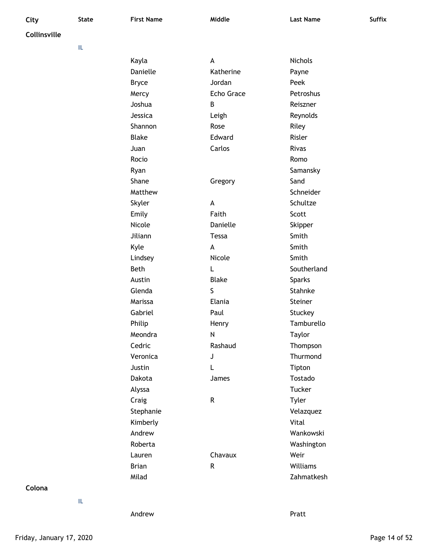| e e          |  |
|--------------|--|
| ×<br>۰.<br>v |  |

| City | State | First Name | Middle | <b>Last Name</b> | Suffix |
|------|-------|------------|--------|------------------|--------|
|      |       |            |        |                  |        |

#### **Collinsville**

**IL**

| Kayla         | A               | <b>Nichols</b> |
|---------------|-----------------|----------------|
| Danielle      | Katherine       | Payne          |
| <b>Bryce</b>  | Jordan          | Peek           |
| Mercy         | Echo Grace      | Petroshus      |
| Joshua        | B               | Reiszner       |
| Jessica       | Leigh           | Reynolds       |
| Shannon       | Rose            | Riley          |
| <b>Blake</b>  | Edward          | Risler         |
| Juan          | Carlos          | Rivas          |
| Rocio         |                 | Romo           |
| Ryan          |                 | Samansky       |
| Shane         | Gregory         | Sand           |
| Matthew       |                 | Schneider      |
| Skyler        | A               | Schultze       |
| Emily         | Faith           | Scott          |
| Nicole        | <b>Danielle</b> | Skipper        |
| Jiliann       | Tessa           | Smith          |
| Kyle          | A               | Smith          |
| Lindsey       | Nicole          | Smith          |
| <b>Beth</b>   | L               | Southerland    |
| Austin        | <b>Blake</b>    | <b>Sparks</b>  |
| Glenda        | S               | Stahnke        |
| Marissa       | Elania          | Steiner        |
| Gabriel       | Paul            | Stuckey        |
| Philip        | Henry           | Tamburello     |
| Meondra       | N               | <b>Taylor</b>  |
| Cedric        | Rashaud         | Thompson       |
| Veronica      | J               | Thurmond       |
| Justin        | L               | Tipton         |
| <b>Dakota</b> | James           | Tostado        |
| Alyssa        |                 | Tucker         |
| Craig         | R               | Tyler          |
| Stephanie     |                 | Velazquez      |
| Kimberly      |                 | Vital          |
| Andrew        |                 | Wankowski      |
| Roberta       |                 | Washington     |
| Lauren        | Chavaux         | Weir           |
| <b>Brian</b>  | R               | Williams       |
| Milad         |                 | Zahmatkesh     |

**Colona**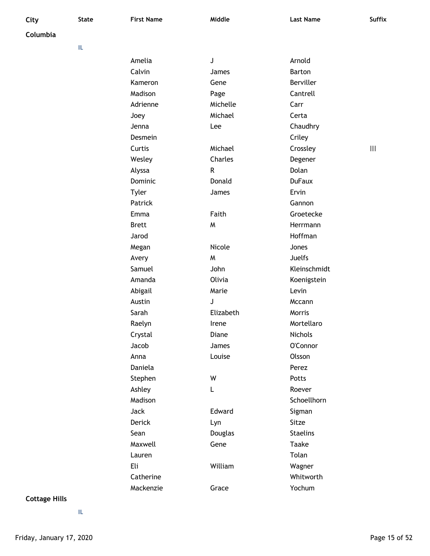| City     | <b>State</b> | <b>First Name</b> | Middle    | <b>Last Name</b> | <b>Suffix</b>                    |
|----------|--------------|-------------------|-----------|------------------|----------------------------------|
| Columbia |              |                   |           |                  |                                  |
|          | IL           |                   |           |                  |                                  |
|          |              | Amelia            | J         | Arnold           |                                  |
|          |              | Calvin            | James     | Barton           |                                  |
|          |              | Kameron           | Gene      | <b>Berviller</b> |                                  |
|          |              | Madison           | Page      | Cantrell         |                                  |
|          |              | Adrienne          | Michelle  | Carr             |                                  |
|          |              | Joey              | Michael   | Certa            |                                  |
|          |              | Jenna             | Lee       | Chaudhry         |                                  |
|          |              | Desmein           |           | Criley           |                                  |
|          |              | Curtis            | Michael   | Crossley         | $\mathop{\mathrm{III}}\nolimits$ |
|          |              | Wesley            | Charles   | Degener          |                                  |
|          |              | Alyssa            | R         | Dolan            |                                  |
|          |              | Dominic           | Donald    | <b>DuFaux</b>    |                                  |
|          |              | <b>Tyler</b>      | James     | Ervin            |                                  |
|          |              | Patrick           |           | Gannon           |                                  |
|          |              | Emma              | Faith     | Groetecke        |                                  |
|          |              | <b>Brett</b>      | M         | Herrmann         |                                  |
|          |              | Jarod             |           | Hoffman          |                                  |
|          |              | Megan             | Nicole    | Jones            |                                  |
|          |              | Avery             | M         | Juelfs           |                                  |
|          |              | Samuel            | John      | Kleinschmidt     |                                  |
|          |              | Amanda            | Olivia    | Koenigstein      |                                  |
|          |              | Abigail           | Marie     | Levin            |                                  |
|          |              | Austin            | J         | Mccann           |                                  |
|          |              | Sarah             | Elizabeth | Morris           |                                  |
|          |              | Raelyn            | Irene     | Mortellaro       |                                  |
|          |              | Crystal           | Diane     | Nichols          |                                  |
|          |              | Jacob             | James     | O'Connor         |                                  |
|          |              | Anna              | Louise    | Olsson           |                                  |
|          |              | Daniela           |           | Perez            |                                  |
|          |              | Stephen           | W         | Potts            |                                  |
|          |              | Ashley            | L         | Roever           |                                  |
|          |              | Madison           |           | Schoellhorn      |                                  |
|          |              | Jack              | Edward    | Sigman           |                                  |
|          |              | Derick            | Lyn       | Sitze            |                                  |
|          |              | Sean              | Douglas   | <b>Staelins</b>  |                                  |
|          |              | Maxwell           | Gene      | Taake            |                                  |
|          |              | Lauren            |           | Tolan            |                                  |
|          |              | Eli               | William   | Wagner           |                                  |
|          |              | Catherine         |           | Whitworth        |                                  |
|          |              | Mackenzie         | Grace     | Yochum           |                                  |

**Cottage Hills**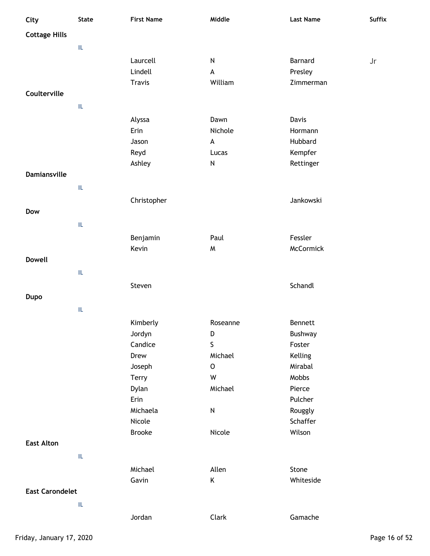| City                   | <b>State</b> | <b>First Name</b> | Middle      | <b>Last Name</b> | <b>Suffix</b> |
|------------------------|--------------|-------------------|-------------|------------------|---------------|
| <b>Cottage Hills</b>   |              |                   |             |                  |               |
|                        | IL.          |                   |             |                  |               |
|                        |              | Laurcell          | ${\sf N}$   | <b>Barnard</b>   | Jr            |
|                        |              | Lindell           | А           | Presley          |               |
|                        |              | <b>Travis</b>     | William     | Zimmerman        |               |
| Coulterville           |              |                   |             |                  |               |
|                        | IL           |                   |             |                  |               |
|                        |              | Alyssa            | Dawn        | Davis            |               |
|                        |              | Erin              | Nichole     | Hormann          |               |
|                        |              | Jason             | A           | Hubbard          |               |
|                        |              | Reyd              | Lucas       | Kempfer          |               |
|                        |              | Ashley            | ${\sf N}$   | Rettinger        |               |
| Damiansville           |              |                   |             |                  |               |
|                        | IL.          |                   |             |                  |               |
|                        |              | Christopher       |             | Jankowski        |               |
| Dow                    |              |                   |             |                  |               |
|                        |              |                   |             |                  |               |
|                        | IL           |                   |             |                  |               |
|                        |              | Benjamin          | Paul        | Fessler          |               |
|                        |              | Kevin             | W           | McCormick        |               |
| <b>Dowell</b>          |              |                   |             |                  |               |
|                        | IL.          |                   |             |                  |               |
|                        |              | Steven            |             | Schandl          |               |
| <b>Dupo</b>            |              |                   |             |                  |               |
|                        | IL           |                   |             |                  |               |
|                        |              | Kimberly          | Roseanne    | Bennett          |               |
|                        |              | Jordyn            | D           | Bushway          |               |
|                        |              | Candice           | $\sf S$     | Foster           |               |
|                        |              | Drew              | Michael     | Kelling          |               |
|                        |              | Joseph            | $\mathsf O$ | Mirabal          |               |
|                        |              | Terry             | W           | Mobbs            |               |
|                        |              | Dylan             | Michael     | Pierce           |               |
|                        |              | Erin              |             | Pulcher          |               |
|                        |              | Michaela          | ${\sf N}$   | Rouggly          |               |
|                        |              | Nicole            |             | Schaffer         |               |
|                        |              | <b>Brooke</b>     | Nicole      | Wilson           |               |
| <b>East Alton</b>      |              |                   |             |                  |               |
|                        | IL.          |                   |             |                  |               |
|                        |              | Michael           | Allen       | Stone            |               |
|                        |              | Gavin             | Κ           | Whiteside        |               |
| <b>East Carondelet</b> |              |                   |             |                  |               |
|                        | IL.          |                   |             |                  |               |
|                        |              |                   |             |                  |               |
|                        |              | Jordan            | Clark       | Gamache          |               |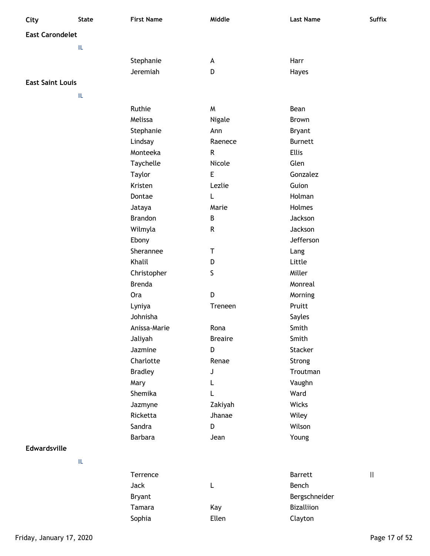| City                    | <b>State</b> | <b>First Name</b> | Middle         | <b>Last Name</b>  | <b>Suffix</b>              |
|-------------------------|--------------|-------------------|----------------|-------------------|----------------------------|
| <b>East Carondelet</b>  |              |                   |                |                   |                            |
|                         | IL.          |                   |                |                   |                            |
|                         |              | Stephanie         | A              | Harr              |                            |
|                         |              | Jeremiah          | D              | Hayes             |                            |
| <b>East Saint Louis</b> |              |                   |                |                   |                            |
|                         |              |                   |                |                   |                            |
|                         | IL.          |                   |                |                   |                            |
|                         |              | Ruthie            | W              | Bean              |                            |
|                         |              | Melissa           | Nigale         | Brown             |                            |
|                         |              | Stephanie         | Ann            | <b>Bryant</b>     |                            |
|                         |              | Lindsay           | Raenece        | <b>Burnett</b>    |                            |
|                         |              | Monteeka          | ${\sf R}$      | <b>Ellis</b>      |                            |
|                         |              | Taychelle         | Nicole         | Glen              |                            |
|                         |              | Taylor            | E              | Gonzalez          |                            |
|                         |              | Kristen           | Lezlie         | Guion             |                            |
|                         |              | Dontae            | L              | Holman            |                            |
|                         |              | Jataya            | Marie          | Holmes            |                            |
|                         |              | <b>Brandon</b>    | B              | Jackson           |                            |
|                         |              | Wilmyla           | R              | Jackson           |                            |
|                         |              | Ebony             |                | Jefferson         |                            |
|                         |              | Sherannee         | Т              | Lang              |                            |
|                         |              | Khalil            | D              | Little            |                            |
|                         |              | Christopher       | S              | Miller            |                            |
|                         |              | <b>Brenda</b>     |                | Monreal           |                            |
|                         |              | Ora               | D              | Morning           |                            |
|                         |              | Lyniya            | Treneen        | Pruitt            |                            |
|                         |              | Johnisha          |                | Sayles            |                            |
|                         |              | Anissa-Marie      | Rona           | Smith             |                            |
|                         |              | Jaliyah           | <b>Breaire</b> | Smith             |                            |
|                         |              | Jazmine           | D              | Stacker           |                            |
|                         |              | Charlotte         | Renae          | Strong            |                            |
|                         |              | <b>Bradley</b>    | J              | Troutman          |                            |
|                         |              | Mary              | L              | Vaughn            |                            |
|                         |              | Shemika           | L              | Ward              |                            |
|                         |              | Jazmyne           | Zakiyah        | Wicks             |                            |
|                         |              | Ricketta          | Jhanae         | Wiley             |                            |
|                         |              | Sandra            | D              | Wilson            |                            |
|                         |              | <b>Barbara</b>    | Jean           | Young             |                            |
| Edwardsville            |              |                   |                |                   |                            |
|                         | IL.          |                   |                |                   |                            |
|                         |              | Terrence          |                | <b>Barrett</b>    | $\mathop{\rm II}\nolimits$ |
|                         |              | Jack              | L              | Bench             |                            |
|                         |              | <b>Bryant</b>     |                | Bergschneider     |                            |
|                         |              | Tamara            | Kay            | <b>Bizalliion</b> |                            |

Sophia **Ellen** Ellen Clayton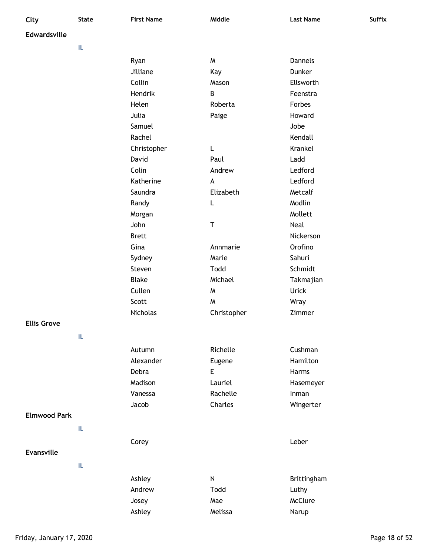| City                | <b>State</b> | <b>First Name</b> | Middle      | <b>Last Name</b> | <b>Suffix</b> |
|---------------------|--------------|-------------------|-------------|------------------|---------------|
| Edwardsville        |              |                   |             |                  |               |
|                     | IL           |                   |             |                  |               |
|                     |              | Ryan              | M           | <b>Dannels</b>   |               |
|                     |              | Jilliane          | Kay         | Dunker           |               |
|                     |              | Collin            | Mason       | Ellsworth        |               |
|                     |              | Hendrik           | B           | Feenstra         |               |
|                     |              | Helen             | Roberta     | Forbes           |               |
|                     |              | Julia             | Paige       | Howard           |               |
|                     |              | Samuel            |             | Jobe             |               |
|                     |              | Rachel            |             | Kendall          |               |
|                     |              | Christopher       | L           | Krankel          |               |
|                     |              | David             | Paul        | Ladd             |               |
|                     |              | Colin             | Andrew      | Ledford          |               |
|                     |              | Katherine         | A           | Ledford          |               |
|                     |              | Saundra           | Elizabeth   | Metcalf          |               |
|                     |              | Randy             | L           | Modlin           |               |
|                     |              | Morgan            |             | Mollett          |               |
|                     |              | John              | $\sf T$     | Neal             |               |
|                     |              | <b>Brett</b>      |             | Nickerson        |               |
|                     |              | Gina              | Annmarie    | Orofino          |               |
|                     |              | Sydney            | Marie       | Sahuri           |               |
|                     |              | Steven            | Todd        | Schmidt          |               |
|                     |              | <b>Blake</b>      | Michael     | Takmajian        |               |
|                     |              | Cullen            | W           | <b>Urick</b>     |               |
|                     |              | Scott             | W           | Wray             |               |
|                     |              | Nicholas          | Christopher | Zimmer           |               |
| <b>Ellis Grove</b>  |              |                   |             |                  |               |
|                     | IL.          |                   |             |                  |               |
|                     |              | Autumn            | Richelle    | Cushman          |               |
|                     |              | Alexander         | Eugene      | Hamilton         |               |
|                     |              | Debra             | E           | Harms            |               |
|                     |              | Madison           | Lauriel     | Hasemeyer        |               |
|                     |              | Vanessa           | Rachelle    | Inman            |               |
|                     |              | Jacob             | Charles     | Wingerter        |               |
| <b>Elmwood Park</b> |              |                   |             |                  |               |
|                     | IL           |                   |             |                  |               |
|                     |              | Corey             |             | Leber            |               |
| Evansville          |              |                   |             |                  |               |
|                     |              |                   |             |                  |               |
|                     | IL           |                   |             |                  |               |
|                     |              | Ashley            | ${\sf N}$   | Brittingham      |               |
|                     |              | Andrew            | Todd        | Luthy            |               |
|                     |              | Josey             | Mae         | McClure          |               |
|                     |              | Ashley            | Melissa     | Narup            |               |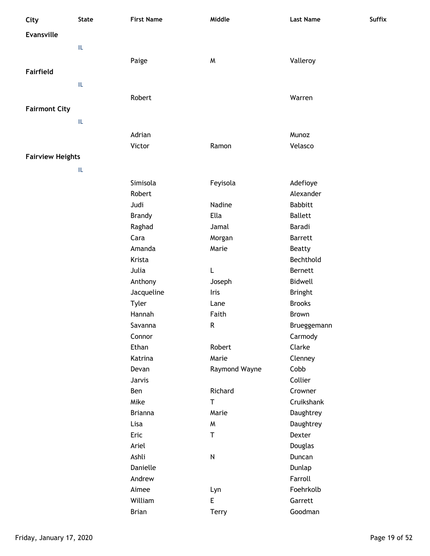| City                    | <b>State</b> | <b>First Name</b> | Middle                                     | <b>Last Name</b> | <b>Suffix</b> |
|-------------------------|--------------|-------------------|--------------------------------------------|------------------|---------------|
| Evansville              |              |                   |                                            |                  |               |
|                         | IL           |                   |                                            |                  |               |
|                         |              | Paige             | M                                          | Valleroy         |               |
| <b>Fairfield</b>        |              |                   |                                            |                  |               |
|                         |              |                   |                                            |                  |               |
|                         | IL.          |                   |                                            |                  |               |
|                         |              | Robert            |                                            | Warren           |               |
| <b>Fairmont City</b>    |              |                   |                                            |                  |               |
|                         | IL           |                   |                                            |                  |               |
|                         |              | Adrian            |                                            | Munoz            |               |
|                         |              | Victor            | Ramon                                      | Velasco          |               |
| <b>Fairview Heights</b> |              |                   |                                            |                  |               |
|                         | IL.          |                   |                                            |                  |               |
|                         |              | Simisola          | Feyisola                                   | Adefioye         |               |
|                         |              | Robert            |                                            | Alexander        |               |
|                         |              | Judi              | Nadine                                     | <b>Babbitt</b>   |               |
|                         |              | <b>Brandy</b>     | Ella                                       | <b>Ballett</b>   |               |
|                         |              | Raghad            | Jamal                                      | Baradi           |               |
|                         |              | Cara              | Morgan                                     | <b>Barrett</b>   |               |
|                         |              | Amanda            | Marie                                      | <b>Beatty</b>    |               |
|                         |              | Krista            |                                            | Bechthold        |               |
|                         |              | Julia             | L                                          | Bernett          |               |
|                         |              | Anthony           | Joseph                                     | Bidwell          |               |
|                         |              | Jacqueline        | Iris                                       | <b>Bringht</b>   |               |
|                         |              | <b>Tyler</b>      | Lane                                       | <b>Brooks</b>    |               |
|                         |              | Hannah            | Faith                                      | Brown            |               |
|                         |              | Savanna           | R                                          | Brueggemann      |               |
|                         |              | Connor            |                                            | Carmody          |               |
|                         |              | Ethan             | Robert                                     | Clarke           |               |
|                         |              | Katrina           | Marie                                      | Clenney          |               |
|                         |              | Devan             | Raymond Wayne                              | Cobb             |               |
|                         |              | Jarvis            |                                            | Collier          |               |
|                         |              | Ben               | Richard                                    | Crowner          |               |
|                         |              | Mike              | $\top$                                     | Cruikshank       |               |
|                         |              | <b>Brianna</b>    | Marie                                      | Daughtrey        |               |
|                         |              | Lisa              | W                                          | Daughtrey        |               |
|                         |              | Eric              | T                                          | Dexter           |               |
|                         |              | Ariel             |                                            | Douglas          |               |
|                         |              | Ashli             | ${\sf N}$                                  | Duncan           |               |
|                         |              | Danielle          |                                            | Dunlap           |               |
|                         |              | Andrew            |                                            | Farroll          |               |
|                         |              | Aimee             | Lyn                                        | Foehrkolb        |               |
|                         |              | William           | $\mathsf{E}% _{0}\left( \mathsf{E}\right)$ | Garrett          |               |
|                         |              | <b>Brian</b>      | Terry                                      | Goodman          |               |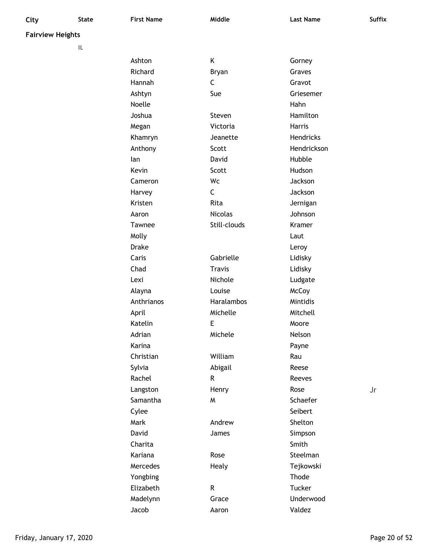| ı |
|---|
| × |

## **Fairview Heights**

| Ashton        | Κ              | Gorney        |    |
|---------------|----------------|---------------|----|
| Richard       | <b>Bryan</b>   | Graves        |    |
| Hannah        | C              | Gravot        |    |
| Ashtyn        | Sue            | Griesemer     |    |
| Noelle        |                | Hahn          |    |
| Joshua        | Steven         | Hamilton      |    |
| Megan         | Victoria       | <b>Harris</b> |    |
| Khamryn       | Jeanette       | Hendricks     |    |
| Anthony       | Scott          | Hendrickson   |    |
| lan           | David          | Hubble        |    |
| Kevin         | Scott          | Hudson        |    |
| Cameron       | Wc             | Jackson       |    |
| Harvey        | C              | Jackson       |    |
| Kristen       | Rita           | Jernigan      |    |
| Aaron         | <b>Nicolas</b> | Johnson       |    |
| <b>Tawnee</b> | Still-clouds   | Kramer        |    |
| Molly         |                | Laut          |    |
| <b>Drake</b>  |                | Leroy         |    |
| Caris         | Gabrielle      | Lidisky       |    |
| Chad          | <b>Travis</b>  | Lidisky       |    |
| Lexi          | Nichole        | Ludgate       |    |
| Alayna        | Louise         | <b>McCoy</b>  |    |
| Anthrianos    | Haralambos     | Mintidis      |    |
| April         | Michelle       | Mitchell      |    |
| Katelin       | E              | Moore         |    |
| Adrian        | Michele        | Nelson        |    |
| Karina        |                | Payne         |    |
| Christian     | William        | Rau           |    |
| Sylvia        | Abigail        | Reese         |    |
| Rachel        | R              | Reeves        |    |
| Langston      | Henry          | Rose          | Jr |
| Samantha      | W              | Schaefer      |    |
| Cylee         |                | Seibert       |    |
| Mark          | Andrew         | Shelton       |    |
| David         | James          | Simpson       |    |
| Charita       |                | Smith         |    |
| Kariana       | Rose           | Steelman      |    |
| Mercedes      | Healy          | Tejkowski     |    |
| Yongbing      |                | Thode         |    |
| Elizabeth     | R              | Tucker        |    |
| Madelynn      | Grace          | Underwood     |    |
| Jacob         | Aaron          | Valdez        |    |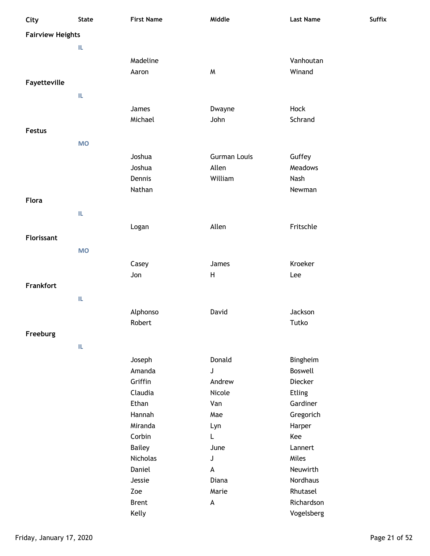| City                    | <b>State</b> | <b>First Name</b> | Middle              | <b>Last Name</b>     | <b>Suffix</b> |
|-------------------------|--------------|-------------------|---------------------|----------------------|---------------|
| <b>Fairview Heights</b> |              |                   |                     |                      |               |
|                         | IL.          |                   |                     |                      |               |
|                         |              | Madeline          |                     | Vanhoutan            |               |
|                         |              | Aaron             | M                   | Winand               |               |
| Fayetteville            |              |                   |                     |                      |               |
|                         | IL.          |                   |                     |                      |               |
|                         |              | James             | Dwayne              | Hock                 |               |
|                         |              | Michael           | John                | Schrand              |               |
| Festus                  |              |                   |                     |                      |               |
|                         | <b>MO</b>    |                   |                     |                      |               |
|                         |              | Joshua            | <b>Gurman Louis</b> | Guffey               |               |
|                         |              | Joshua            | Allen               | Meadows              |               |
|                         |              | Dennis            | William             | Nash                 |               |
|                         |              | Nathan            |                     | Newman               |               |
| Flora                   |              |                   |                     |                      |               |
|                         | IL.          |                   |                     |                      |               |
|                         |              | Logan             | Allen               | Fritschle            |               |
| Florissant              |              |                   |                     |                      |               |
|                         | <b>MO</b>    |                   |                     |                      |               |
|                         |              | Casey             | James               | Kroeker              |               |
|                         |              | Jon               | $\mathsf H$         | Lee                  |               |
| Frankfort               |              |                   |                     |                      |               |
|                         | IL.          |                   |                     |                      |               |
|                         |              | Alphonso          | David               | Jackson              |               |
|                         |              | Robert            |                     | Tutko                |               |
| Freeburg                |              |                   |                     |                      |               |
|                         | IL.          |                   |                     |                      |               |
|                         |              | Joseph            | Donald              | Bingheim             |               |
|                         |              | Amanda            | J                   | Boswell              |               |
|                         |              | Griffin           | Andrew              | Diecker              |               |
|                         |              | Claudia           | Nicole              | <b>Etling</b>        |               |
|                         |              | Ethan             | Van                 | Gardiner             |               |
|                         |              | Hannah            | Mae                 | Gregorich            |               |
|                         |              | Miranda           | Lyn                 | Harper               |               |
|                         |              | Corbin            | L                   | Kee                  |               |
|                         |              | <b>Bailey</b>     | June                | Lannert              |               |
|                         |              | <b>Nicholas</b>   | J                   | Miles                |               |
|                         |              | Daniel<br>Jessie  | A<br>Diana          | Neuwirth<br>Nordhaus |               |
|                         |              | Zoe               | Marie               | Rhutasel             |               |
|                         |              | <b>Brent</b>      | $\pmb{\mathsf{A}}$  | Richardson           |               |
|                         |              | Kelly             |                     | Vogelsberg           |               |
|                         |              |                   |                     |                      |               |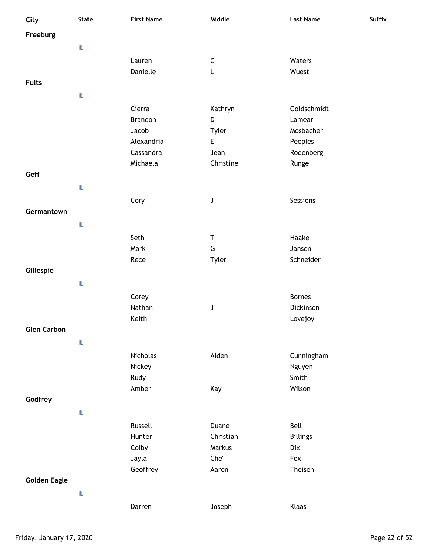| City                | <b>State</b> | <b>First Name</b> | Middle      | <b>Last Name</b> | Suffix |
|---------------------|--------------|-------------------|-------------|------------------|--------|
| Freeburg            |              |                   |             |                  |        |
|                     | IL.          |                   |             |                  |        |
|                     |              | Lauren            | $\mathsf C$ | Waters           |        |
|                     |              | Danielle          | L           | Wuest            |        |
| <b>Fults</b>        |              |                   |             |                  |        |
|                     |              |                   |             |                  |        |
|                     | IL.          |                   |             |                  |        |
|                     |              | Cierra            | Kathryn     | Goldschmidt      |        |
|                     |              | <b>Brandon</b>    | D           | Lamear           |        |
|                     |              | Jacob             | Tyler       | Mosbacher        |        |
|                     |              | Alexandria        | E           | Peeples          |        |
|                     |              | Cassandra         | Jean        | Rodenberg        |        |
|                     |              | Michaela          | Christine   | Runge            |        |
| Geff                |              |                   |             |                  |        |
|                     | IL.          |                   |             |                  |        |
|                     |              | Cory              | J           | Sessions         |        |
| Germantown          |              |                   |             |                  |        |
|                     | IL           |                   |             |                  |        |
|                     |              | Seth              | Τ           | Haake            |        |
|                     |              | Mark              | G           | Jansen           |        |
|                     |              | Rece              |             | Schneider        |        |
| Gillespie           |              |                   | Tyler       |                  |        |
|                     |              |                   |             |                  |        |
|                     | IL.          |                   |             |                  |        |
|                     |              | Corey             |             | <b>Bornes</b>    |        |
|                     |              | Nathan            | J           | Dickinson        |        |
|                     |              | Keith             |             | Lovejoy          |        |
| <b>Glen Carbon</b>  |              |                   |             |                  |        |
|                     | IL.          |                   |             |                  |        |
|                     |              | Nicholas          | Aiden       | Cunningham       |        |
|                     |              | Nickey            |             | Nguyen           |        |
|                     |              | Rudy              |             | Smith            |        |
|                     |              | Amber             | Kay         | Wilson           |        |
| Godfrey             |              |                   |             |                  |        |
|                     | IL.          |                   |             |                  |        |
|                     |              | Russell           | Duane       | Bell             |        |
|                     |              | Hunter            | Christian   | <b>Billings</b>  |        |
|                     |              | Colby             | Markus      | Dix              |        |
|                     |              |                   | Che'        | Fox              |        |
|                     |              | Jayla<br>Geoffrey | Aaron       | Theisen          |        |
|                     |              |                   |             |                  |        |
| <b>Golden Eagle</b> |              |                   |             |                  |        |
|                     | IL           |                   |             |                  |        |
|                     |              | Darren            | Joseph      | Klaas            |        |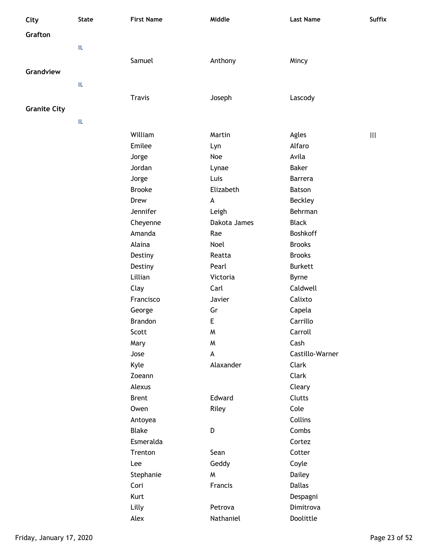| City                | <b>State</b> | <b>First Name</b> | Middle       | <b>Last Name</b> | <b>Suffix</b>     |
|---------------------|--------------|-------------------|--------------|------------------|-------------------|
| Grafton             |              |                   |              |                  |                   |
|                     | IL           |                   |              |                  |                   |
|                     |              | Samuel            |              |                  |                   |
| Grandview           |              |                   | Anthony      | Mincy            |                   |
|                     |              |                   |              |                  |                   |
|                     | IL           |                   |              |                  |                   |
|                     |              | <b>Travis</b>     | Joseph       | Lascody          |                   |
| <b>Granite City</b> |              |                   |              |                  |                   |
|                     | IL.          |                   |              |                  |                   |
|                     |              | William           | Martin       | Agles            | $\vert\vert\vert$ |
|                     |              | Emilee            | Lyn          | Alfaro           |                   |
|                     |              | Jorge             | Noe          | Avila            |                   |
|                     |              | Jordan            | Lynae        | <b>Baker</b>     |                   |
|                     |              | Jorge             | Luis         | <b>Barrera</b>   |                   |
|                     |              | <b>Brooke</b>     | Elizabeth    | Batson           |                   |
|                     |              | Drew              | A            | <b>Beckley</b>   |                   |
|                     |              | Jennifer          | Leigh        | Behrman          |                   |
|                     |              | Cheyenne          | Dakota James | <b>Black</b>     |                   |
|                     |              | Amanda            | Rae          | Boshkoff         |                   |
|                     |              | Alaina            | Noel         | <b>Brooks</b>    |                   |
|                     |              | Destiny           | Reatta       | <b>Brooks</b>    |                   |
|                     |              | Destiny           | Pearl        | <b>Burkett</b>   |                   |
|                     |              | Lillian           | Victoria     | <b>Byrne</b>     |                   |
|                     |              | Clay              | Carl         | Caldwell         |                   |
|                     |              | Francisco         | Javier       | Calixto          |                   |
|                     |              | George            | Gr           | Capela           |                   |
|                     |              | <b>Brandon</b>    | E            | Carrillo         |                   |
|                     |              | Scott             | W            | Carroll          |                   |
|                     |              | Mary              | M            | Cash             |                   |
|                     |              | Jose              | A            | Castillo-Warner  |                   |
|                     |              | Kyle              | Alaxander    | Clark            |                   |
|                     |              | Zoeann            |              | Clark            |                   |
|                     |              | Alexus            |              | Cleary           |                   |
|                     |              | <b>Brent</b>      | Edward       | Clutts           |                   |
|                     |              | Owen              | Riley        | Cole             |                   |
|                     |              | Antoyea           |              | Collins          |                   |
|                     |              | <b>Blake</b>      | D            | Combs            |                   |
|                     |              | Esmeralda         |              | Cortez           |                   |
|                     |              | Trenton           | Sean         | Cotter           |                   |
|                     |              | Lee               | Geddy        | Coyle            |                   |
|                     |              | Stephanie         | M            | <b>Dailey</b>    |                   |
|                     |              | Cori              | Francis      | <b>Dallas</b>    |                   |
|                     |              | Kurt              |              | Despagni         |                   |
|                     |              | Lilly             | Petrova      | Dimitrova        |                   |
|                     |              | Alex              | Nathaniel    | Doolittle        |                   |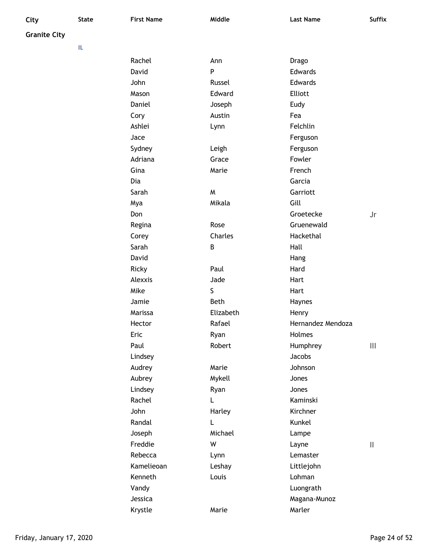| City                | <b>State</b> | <b>First Name</b> | Middle      | <b>Last Name</b>  | <b>Suffix</b>                         |
|---------------------|--------------|-------------------|-------------|-------------------|---------------------------------------|
| <b>Granite City</b> |              |                   |             |                   |                                       |
|                     | IL           |                   |             |                   |                                       |
|                     |              | Rachel            | Ann         | Drago             |                                       |
|                     |              | David             | P           | Edwards           |                                       |
|                     |              | John              | Russel      | Edwards           |                                       |
|                     |              | Mason             | Edward      | Elliott           |                                       |
|                     |              | Daniel            | Joseph      | Eudy              |                                       |
|                     |              | Cory              | Austin      | Fea               |                                       |
|                     |              | Ashlei            | Lynn        | Felchlin          |                                       |
|                     |              | Jace              |             | Ferguson          |                                       |
|                     |              | Sydney            | Leigh       | Ferguson          |                                       |
|                     |              | Adriana           | Grace       | Fowler            |                                       |
|                     |              | Gina              | Marie       | French            |                                       |
|                     |              | Dia               |             | Garcia            |                                       |
|                     |              | Sarah             | W           | Garriott          |                                       |
|                     |              | Mya               | Mikala      | Gill              |                                       |
|                     |              | Don               |             | Groetecke         | Jr                                    |
|                     |              | Regina            | Rose        | Gruenewald        |                                       |
|                     |              | Corey             | Charles     | Hackethal         |                                       |
|                     |              | Sarah             | B           | Hall              |                                       |
|                     |              | David             |             | Hang              |                                       |
|                     |              | Ricky             | Paul        | Hard              |                                       |
|                     |              | Alexxis           | Jade        | Hart              |                                       |
|                     |              | Mike              | $\mathsf S$ | Hart              |                                       |
|                     |              | Jamie             | <b>Beth</b> | Haynes            |                                       |
|                     |              | Marissa           | Elizabeth   | Henry             |                                       |
|                     |              | Hector            | Rafael      | Hernandez Mendoza |                                       |
|                     |              | Eric              | Ryan        | Holmes            |                                       |
|                     |              | Paul              | Robert      | Humphrey          | $\begin{array}{c} \hline \end{array}$ |
|                     |              | Lindsey           |             | Jacobs            |                                       |
|                     |              | Audrey            | Marie       | Johnson           |                                       |
|                     |              | Aubrey            | Mykell      | Jones             |                                       |
|                     |              | Lindsey           | Ryan        | Jones             |                                       |
|                     |              | Rachel            | L           | Kaminski          |                                       |
|                     |              | John              | Harley      | Kirchner          |                                       |
|                     |              | Randal            | L.          | Kunkel            |                                       |
|                     |              | Joseph            | Michael     | Lampe             |                                       |
|                     |              | Freddie           | W           | Layne             | $\vert\vert$                          |
|                     |              | Rebecca           | Lynn        | Lemaster          |                                       |
|                     |              | Kamelieoan        | Leshay      | Littlejohn        |                                       |
|                     |              | Kenneth           | Louis       | Lohman            |                                       |
|                     |              | Vandy             |             | Luongrath         |                                       |
|                     |              | Jessica           |             | Magana-Munoz      |                                       |
|                     |              | Krystle           | Marie       | Marler            |                                       |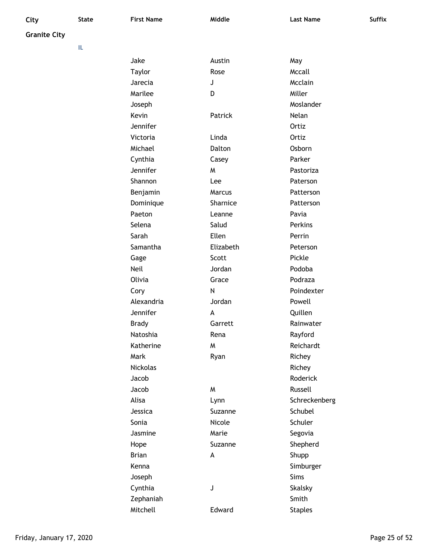**Granite City**

| Jake            | Austin        | May            |
|-----------------|---------------|----------------|
| <b>Taylor</b>   | Rose          | Mccall         |
| Jarecia         | J             | Mcclain        |
| Marilee         | D             | Miller         |
| Joseph          |               | Moslander      |
| Kevin           | Patrick       | Nelan          |
| Jennifer        |               | Ortiz          |
| Victoria        | Linda         | Ortiz          |
| Michael         | Dalton        | Osborn         |
| Cynthia         | Casey         | Parker         |
| Jennifer        | M             | Pastoriza      |
| Shannon         | Lee           | Paterson       |
| Benjamin        | <b>Marcus</b> | Patterson      |
| Dominique       | Sharnice      | Patterson      |
| Paeton          | Leanne        | Pavia          |
| Selena          | Salud         | Perkins        |
| Sarah           | Ellen         | Perrin         |
| Samantha        | Elizabeth     | Peterson       |
| Gage            | Scott         | Pickle         |
| Neil            | Jordan        | Podoba         |
| Olivia          | Grace         | Podraza        |
| Cory            | N             | Poindexter     |
| Alexandria      | Jordan        | Powell         |
| Jennifer        | A             | Quillen        |
| <b>Brady</b>    | Garrett       | Rainwater      |
| Natoshia        | Rena          | Rayford        |
| Katherine       | W             | Reichardt      |
| Mark            | Ryan          | Richey         |
| <b>Nickolas</b> |               | Richey         |
| Jacob           |               | Roderick       |
| Jacob           | M             | Russell        |
| Alisa           | Lynn          | Schreckenberg  |
| Jessica         | Suzanne       | Schubel        |
| Sonia           | Nicole        | Schuler        |
| Jasmine         | Marie         | Segovia        |
| Hope            | Suzanne       | Shepherd       |
| <b>Brian</b>    | A             | Shupp          |
| Kenna           |               | Simburger      |
| Joseph          |               | <b>Sims</b>    |
| Cynthia         | J             | <b>Skalsky</b> |
| Zephaniah       |               | Smith          |
| Mitchell        | Edward        | <b>Staples</b> |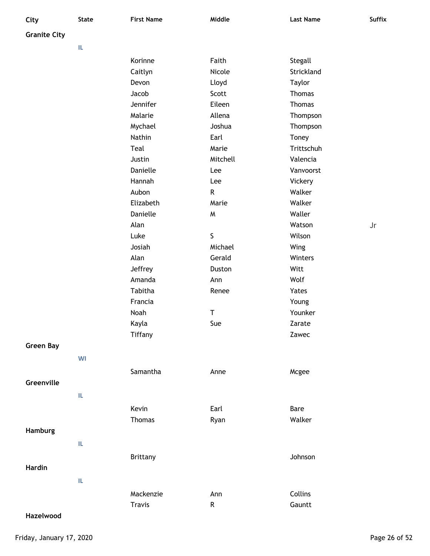| City                | <b>State</b> | <b>First Name</b> | Middle       | <b>Last Name</b> | Suffix |
|---------------------|--------------|-------------------|--------------|------------------|--------|
| <b>Granite City</b> |              |                   |              |                  |        |
|                     | IL           |                   |              |                  |        |
|                     |              | Korinne           | Faith        | Stegall          |        |
|                     |              | Caitlyn           | Nicole       | Strickland       |        |
|                     |              | Devon             | Lloyd        | Taylor           |        |
|                     |              | Jacob             | Scott        | Thomas           |        |
|                     |              | Jennifer          | Eileen       | Thomas           |        |
|                     |              | Malarie           | Allena       | Thompson         |        |
|                     |              | Mychael           | Joshua       | Thompson         |        |
|                     |              | Nathin            | Earl         | Toney            |        |
|                     |              | Teal              | Marie        | Trittschuh       |        |
|                     |              | Justin            | Mitchell     | Valencia         |        |
|                     |              | Danielle          | Lee          | Vanvoorst        |        |
|                     |              | Hannah            | Lee          | Vickery          |        |
|                     |              | Aubon             | $\mathsf{R}$ | Walker           |        |
|                     |              | Elizabeth         | Marie        | Walker           |        |
|                     |              | Danielle          | W            | Waller           |        |
|                     |              | Alan              |              | Watson           | Jr     |
|                     |              | Luke              | $\mathsf{S}$ | Wilson           |        |
|                     |              | Josiah            | Michael      | Wing             |        |
|                     |              | Alan              | Gerald       | Winters          |        |
|                     |              | Jeffrey           | Duston       | Witt             |        |
|                     |              | Amanda            | Ann          | Wolf             |        |
|                     |              | Tabitha           | Renee        | Yates            |        |
|                     |              | Francia           |              | Young            |        |
|                     |              | Noah              | T            | Younker          |        |
|                     |              | Kayla             | Sue          | Zarate           |        |
|                     |              | Tiffany           |              | Zawec            |        |
| <b>Green Bay</b>    |              |                   |              |                  |        |
|                     | WI           |                   |              |                  |        |
|                     |              | Samantha          | Anne         | Mcgee            |        |
| Greenville          |              |                   |              |                  |        |
|                     | IL           |                   |              |                  |        |
|                     |              |                   |              |                  |        |
|                     |              | Kevin             | Earl         | Bare             |        |
|                     |              | Thomas            | Ryan         | Walker           |        |
| Hamburg             |              |                   |              |                  |        |
|                     | IL.          |                   |              |                  |        |
|                     |              | <b>Brittany</b>   |              | Johnson          |        |
| <b>Hardin</b>       |              |                   |              |                  |        |
|                     | IL           |                   |              |                  |        |
|                     |              | Mackenzie         | Ann          | Collins          |        |
|                     |              | <b>Travis</b>     | ${\sf R}$    | Gauntt           |        |
|                     |              |                   |              |                  |        |

### **Hazelwood**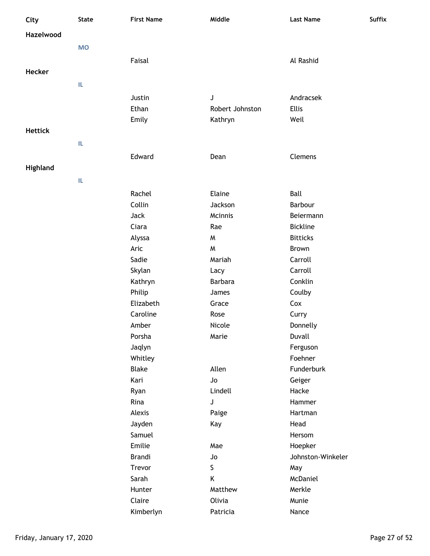| City            | <b>State</b> | <b>First Name</b> | Middle          | <b>Last Name</b>             | Suffix |
|-----------------|--------------|-------------------|-----------------|------------------------------|--------|
| Hazelwood       |              |                   |                 |                              |        |
|                 | <b>MO</b>    |                   |                 |                              |        |
|                 |              | Faisal            |                 | Al Rashid                    |        |
| Hecker          |              |                   |                 |                              |        |
|                 |              |                   |                 |                              |        |
|                 | IL           |                   |                 |                              |        |
|                 |              | Justin            | J               | Andracsek                    |        |
|                 |              | Ethan             | Robert Johnston | <b>Ellis</b>                 |        |
|                 |              | Emily             | Kathryn         | Weil                         |        |
| <b>Hettick</b>  |              |                   |                 |                              |        |
|                 | IL           |                   |                 |                              |        |
|                 |              | Edward            | Dean            | Clemens                      |        |
| <b>Highland</b> |              |                   |                 |                              |        |
|                 | IL.          |                   |                 |                              |        |
|                 |              | Rachel            | Elaine          | Ball                         |        |
|                 |              | Collin            | Jackson         | Barbour                      |        |
|                 |              | Jack              | Mcinnis         | Beiermann                    |        |
|                 |              | Ciara             | Rae             | <b>Bickline</b>              |        |
|                 |              | Alyssa            | W               | <b>Bitticks</b>              |        |
|                 |              | Aric              | M               | Brown                        |        |
|                 |              | Sadie             | Mariah          | Carroll                      |        |
|                 |              | Skylan            | Lacy            | Carroll                      |        |
|                 |              | Kathryn           | <b>Barbara</b>  | Conklin                      |        |
|                 |              | Philip            | James           | Coulby                       |        |
|                 |              | Elizabeth         | Grace           | Cox                          |        |
|                 |              | Caroline          | Rose            | Curry                        |        |
|                 |              | Amber             | Nicole          | Donnelly                     |        |
|                 |              | Porsha            | Marie           | Duvall                       |        |
|                 |              | Jaqlyn            |                 | Ferguson                     |        |
|                 |              | Whitley           |                 | Foehner                      |        |
|                 |              | <b>Blake</b>      | Allen           | Funderburk                   |        |
|                 |              | Kari              | Jo              | Geiger                       |        |
|                 |              | Ryan              | Lindell         | Hacke                        |        |
|                 |              | Rina              | J               | Hammer                       |        |
|                 |              | Alexis            | Paige           | Hartman                      |        |
|                 |              | Jayden<br>Samuel  | Kay             | Head<br>Hersom               |        |
|                 |              | Emilie            |                 |                              |        |
|                 |              | <b>Brandi</b>     | Mae<br>Jo       | Hoepker<br>Johnston-Winkeler |        |
|                 |              | Trevor            | S               | May                          |        |
|                 |              | Sarah             | Κ               | McDaniel                     |        |
|                 |              | Hunter            | Matthew         | Merkle                       |        |
|                 |              | Claire            | Olivia          | Munie                        |        |
|                 |              | Kimberlyn         | Patricia        | Nance                        |        |
|                 |              |                   |                 |                              |        |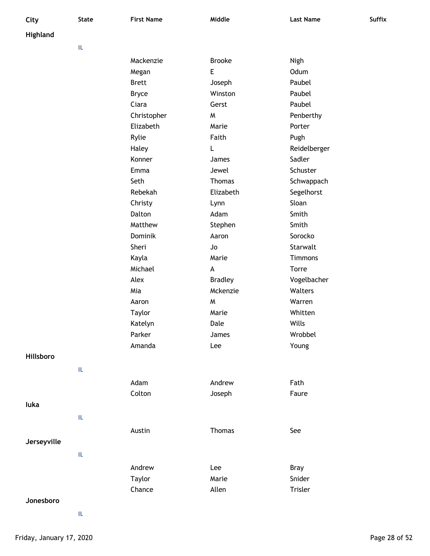| City        | <b>State</b> | <b>First Name</b> | Middle         | <b>Last Name</b> | Suffix |
|-------------|--------------|-------------------|----------------|------------------|--------|
| Highland    |              |                   |                |                  |        |
|             | IL           |                   |                |                  |        |
|             |              | Mackenzie         | <b>Brooke</b>  | Nigh             |        |
|             |              | Megan             | E              | Odum             |        |
|             |              | <b>Brett</b>      | Joseph         | Paubel           |        |
|             |              | <b>Bryce</b>      | Winston        | Paubel           |        |
|             |              | Ciara             | Gerst          | Paubel           |        |
|             |              | Christopher       | M              | Penberthy        |        |
|             |              | Elizabeth         | Marie          | Porter           |        |
|             |              | Rylie             | Faith          | Pugh             |        |
|             |              | Haley             | L              | Reidelberger     |        |
|             |              | Konner            | James          | Sadler           |        |
|             |              | Emma              | Jewel          | Schuster         |        |
|             |              | Seth              | <b>Thomas</b>  | Schwappach       |        |
|             |              | Rebekah           | Elizabeth      | Segelhorst       |        |
|             |              | Christy           | Lynn           | Sloan            |        |
|             |              | Dalton            | Adam           | Smith            |        |
|             |              | Matthew           | Stephen        | Smith            |        |
|             |              | Dominik           | Aaron          | Sorocko          |        |
|             |              | Sheri             | Jo             | Starwalt         |        |
|             |              | Kayla             | Marie          | Timmons          |        |
|             |              | Michael           | A              | Torre            |        |
|             |              | Alex              | <b>Bradley</b> | Vogelbacher      |        |
|             |              | Mia               | Mckenzie       | Walters          |        |
|             |              | Aaron             | M              | Warren           |        |
|             |              | Taylor            | Marie          | Whitten          |        |
|             |              | Katelyn           | Dale           | Wills            |        |
|             |              | Parker            | James          | Wrobbel          |        |
|             |              | Amanda            | Lee            | Young            |        |
| Hillsboro   |              |                   |                |                  |        |
|             | IL.          |                   |                |                  |        |
|             |              |                   |                |                  |        |
|             |              | Adam              | Andrew         | Fath             |        |
|             |              | Colton            | Joseph         | Faure            |        |
| luka        |              |                   |                |                  |        |
|             | IL.          |                   |                |                  |        |
|             |              | Austin            | <b>Thomas</b>  | See              |        |
| Jerseyville |              |                   |                |                  |        |
|             | IL.          |                   |                |                  |        |
|             |              | Andrew            | Lee            | <b>Bray</b>      |        |
|             |              | Taylor            | Marie          | Snider           |        |
|             |              | Chance            | Allen          | Trisler          |        |
| Jonesboro   |              |                   |                |                  |        |
|             |              |                   |                |                  |        |
|             | IL.          |                   |                |                  |        |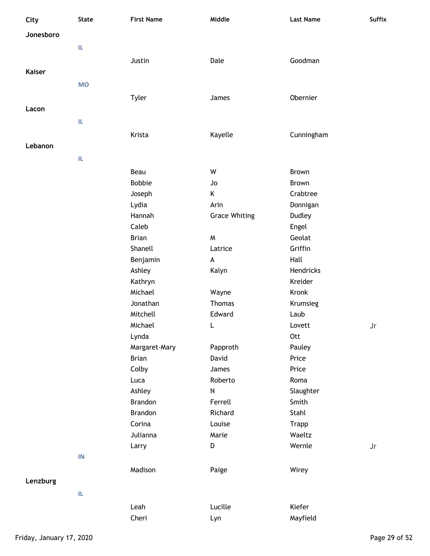| City          | <b>State</b> | <b>First Name</b>       | Middle                 | <b>Last Name</b>     | <b>Suffix</b>          |
|---------------|--------------|-------------------------|------------------------|----------------------|------------------------|
| Jonesboro     |              |                         |                        |                      |                        |
|               | IL           |                         |                        |                      |                        |
|               |              | Justin                  | Dale                   | Goodman              |                        |
| <b>Kaiser</b> |              |                         |                        |                      |                        |
|               |              |                         |                        |                      |                        |
|               | <b>MO</b>    |                         |                        |                      |                        |
|               |              | Tyler                   | James                  | Obernier             |                        |
| Lacon         |              |                         |                        |                      |                        |
|               | IL.          |                         |                        |                      |                        |
|               |              | Krista                  | Kayelle                | Cunningham           |                        |
| Lebanon       |              |                         |                        |                      |                        |
|               | IL           |                         |                        |                      |                        |
|               |              |                         |                        | <b>Brown</b>         |                        |
|               |              | Beau                    | W                      |                      |                        |
|               |              | <b>Bobbie</b>           | Jo                     | Brown<br>Crabtree    |                        |
|               |              | Joseph                  | Κ                      |                      |                        |
|               |              | Lydia                   | Arin                   | Donnigan             |                        |
|               |              | Hannah<br>Caleb         | <b>Grace Whiting</b>   | Dudley               |                        |
|               |              |                         |                        | Engel<br>Geolat      |                        |
|               |              | <b>Brian</b><br>Shanell | W                      | Griffin              |                        |
|               |              |                         | Latrice                | Hall                 |                        |
|               |              | Benjamin                | A                      |                      |                        |
|               |              | Ashley                  | Kalyn                  | Hendricks<br>Kreider |                        |
|               |              | Kathryn<br>Michael      |                        | Kronk                |                        |
|               |              | Jonathan                | Wayne<br><b>Thomas</b> |                      |                        |
|               |              | Mitchell                | Edward                 | Krumsieg<br>Laub     |                        |
|               |              |                         |                        |                      |                        |
|               |              | Michael                 | L                      | Lovett               | Jr                     |
|               |              | Lynda<br>Margaret-Mary  | Papproth               | Ott<br>Pauley        |                        |
|               |              | <b>Brian</b>            | David                  |                      |                        |
|               |              |                         |                        | Price                |                        |
|               |              | Colby<br>Luca           | James<br>Roberto       | Price<br>Roma        |                        |
|               |              | Ashley                  | ${\sf N}$              | Slaughter            |                        |
|               |              | <b>Brandon</b>          | Ferrell                | Smith                |                        |
|               |              | <b>Brandon</b>          | Richard                | Stahl                |                        |
|               |              | Corina                  | Louise                 | <b>Trapp</b>         |                        |
|               |              | Julianna                | Marie                  | Waeltz               |                        |
|               |              |                         | D                      | Wernle               |                        |
|               | IN           | Larry                   |                        |                      | $\mathsf{J}\mathsf{r}$ |
|               |              |                         |                        |                      |                        |
|               |              | Madison                 | Paige                  | Wirey                |                        |
| Lenzburg      |              |                         |                        |                      |                        |
|               | IL           |                         |                        |                      |                        |
|               |              | Leah                    | Lucille                | Kiefer               |                        |
|               |              | Cheri                   | Lyn                    | Mayfield             |                        |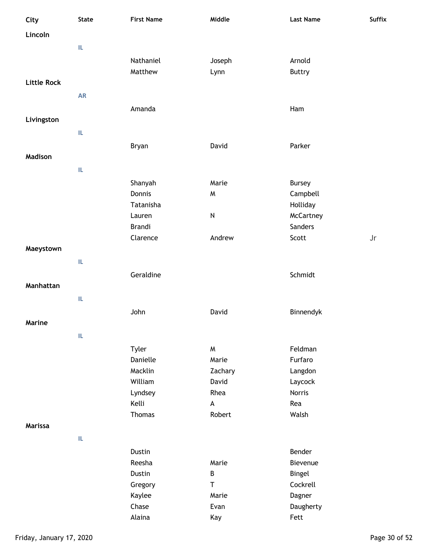| City               | <b>State</b> | <b>First Name</b> | Middle                    | <b>Last Name</b> | <b>Suffix</b> |
|--------------------|--------------|-------------------|---------------------------|------------------|---------------|
| Lincoln            |              |                   |                           |                  |               |
|                    | IL           |                   |                           |                  |               |
|                    |              | Nathaniel         | Joseph                    | Arnold           |               |
|                    |              | Matthew           | Lynn                      | <b>Buttry</b>    |               |
| <b>Little Rock</b> |              |                   |                           |                  |               |
|                    | ${\sf AR}$   |                   |                           |                  |               |
|                    |              |                   |                           |                  |               |
|                    |              | Amanda            |                           | Ham              |               |
| Livingston         |              |                   |                           |                  |               |
|                    | IL           |                   |                           |                  |               |
|                    |              | Bryan             | David                     | Parker           |               |
| <b>Madison</b>     |              |                   |                           |                  |               |
|                    | IL           |                   |                           |                  |               |
|                    |              | Shanyah           | Marie                     | <b>Bursey</b>    |               |
|                    |              | Donnis            | M                         | Campbell         |               |
|                    |              | Tatanisha         |                           | Holliday         |               |
|                    |              | Lauren            | ${\sf N}$                 | McCartney        |               |
|                    |              | Brandi            |                           | Sanders          |               |
|                    |              | Clarence          | Andrew                    | Scott            | Jr            |
| Maeystown          |              |                   |                           |                  |               |
|                    | IL.          |                   |                           |                  |               |
|                    |              | Geraldine         |                           | Schmidt          |               |
| Manhattan          |              |                   |                           |                  |               |
|                    | IL.          |                   |                           |                  |               |
|                    |              | John              | David                     | Binnendyk        |               |
| Marine             |              |                   |                           |                  |               |
|                    |              |                   |                           |                  |               |
|                    | IL           |                   |                           |                  |               |
|                    |              | Tyler             | M                         | Feldman          |               |
|                    |              | Danielle          | Marie                     | Furfaro          |               |
|                    |              | Macklin           | Zachary                   | Langdon          |               |
|                    |              | William           | David                     | Laycock          |               |
|                    |              | Lyndsey           | Rhea                      | Norris           |               |
|                    |              | Kelli             | $\boldsymbol{\mathsf{A}}$ | Rea              |               |
|                    |              | <b>Thomas</b>     | Robert                    | Walsh            |               |
| <b>Marissa</b>     |              |                   |                           |                  |               |
|                    | IL.          |                   |                           |                  |               |
|                    |              | Dustin            |                           | Bender           |               |
|                    |              | Reesha            | Marie                     | Bievenue         |               |
|                    |              | Dustin            | $\sf B$                   | Bingel           |               |
|                    |              | Gregory           | $\sf T$                   | Cockrell         |               |
|                    |              | Kaylee            | Marie                     | Dagner           |               |
|                    |              | Chase             | Evan                      | Daugherty        |               |
|                    |              | Alaina            | Kay                       | Fett             |               |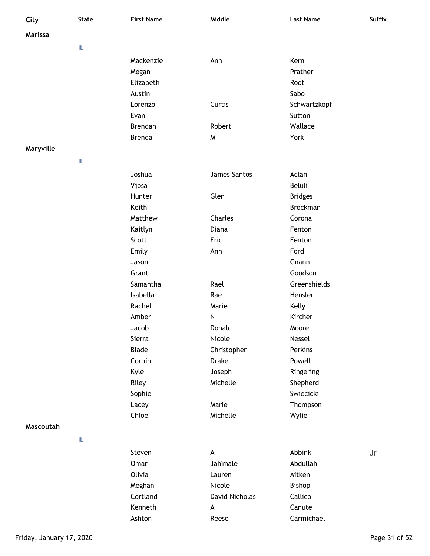| City           | <b>State</b> | <b>First Name</b> | Middle         | <b>Last Name</b> | <b>Suffix</b>          |
|----------------|--------------|-------------------|----------------|------------------|------------------------|
| <b>Marissa</b> |              |                   |                |                  |                        |
|                | IL.          |                   |                |                  |                        |
|                |              | Mackenzie         | Ann            | Kern             |                        |
|                |              | Megan             |                | Prather          |                        |
|                |              | Elizabeth         |                | Root             |                        |
|                |              | Austin            |                | Sabo             |                        |
|                |              | Lorenzo           | Curtis         | Schwartzkopf     |                        |
|                |              | Evan              |                | Sutton           |                        |
|                |              | Brendan           | Robert         | Wallace          |                        |
|                |              | <b>Brenda</b>     | W              | York             |                        |
| Maryville      |              |                   |                |                  |                        |
|                | IL.          |                   |                |                  |                        |
|                |              |                   |                |                  |                        |
|                |              | Joshua            | James Santos   | Aclan            |                        |
|                |              | Vjosa             |                | Beluli           |                        |
|                |              | Hunter            | Glen           | <b>Bridges</b>   |                        |
|                |              | Keith             |                | <b>Brockman</b>  |                        |
|                |              | Matthew           | Charles        | Corona           |                        |
|                |              | Kaitlyn           | Diana          | Fenton           |                        |
|                |              | Scott             | Eric           | Fenton           |                        |
|                |              | Emily             | Ann            | Ford             |                        |
|                |              | Jason             |                | Gnann            |                        |
|                |              | Grant             |                | Goodson          |                        |
|                |              | Samantha          | Rael           | Greenshields     |                        |
|                |              | Isabella          | Rae            | Hensler          |                        |
|                |              | Rachel            | Marie          | Kelly            |                        |
|                |              | Amber             | ${\sf N}$      | Kircher          |                        |
|                |              | Jacob             | Donald         | Moore            |                        |
|                |              | Sierra            | Nicole         | Nessel           |                        |
|                |              | Blade             | Christopher    | Perkins          |                        |
|                |              | Corbin            | <b>Drake</b>   | Powell           |                        |
|                |              | Kyle              | Joseph         | Ringering        |                        |
|                |              | Riley             | Michelle       | Shepherd         |                        |
|                |              | Sophie            |                | Swiecicki        |                        |
|                |              | Lacey             | Marie          | Thompson         |                        |
|                |              | Chloe             | Michelle       | Wylie            |                        |
| Mascoutah      |              |                   |                |                  |                        |
|                | IL.          |                   |                |                  |                        |
|                |              | Steven            | $\mathsf{A}$   | Abbink           | $\mathsf{J}\mathsf{r}$ |
|                |              | Omar              | Jah'male       | Abdullah         |                        |
|                |              | Olivia            | Lauren         | Aitken           |                        |
|                |              | Meghan            | Nicole         | Bishop           |                        |
|                |              | Cortland          | David Nicholas | Callico          |                        |
|                |              | Kenneth           | A              | Canute           |                        |

Ashton Reese Carmichael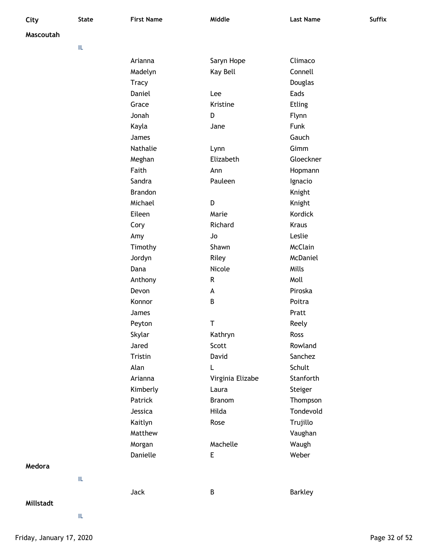| City      | <b>State</b> | <b>First Name</b> | Middle           | <b>Last Name</b> | Suffix |
|-----------|--------------|-------------------|------------------|------------------|--------|
| Mascoutah |              |                   |                  |                  |        |
|           | IL           |                   |                  |                  |        |
|           |              | Arianna           | Saryn Hope       | Climaco          |        |
|           |              | Madelyn           | Kay Bell         | Connell          |        |
|           |              | <b>Tracy</b>      |                  | Douglas          |        |
|           |              | Daniel            | Lee              | Eads             |        |
|           |              | Grace             | Kristine         | Etling           |        |
|           |              | Jonah             | D                | Flynn            |        |
|           |              | Kayla             | Jane             | Funk             |        |
|           |              | James             |                  | Gauch            |        |
|           |              | Nathalie          | Lynn             | Gimm             |        |
|           |              | Meghan            | Elizabeth        | Gloeckner        |        |
|           |              | Faith             | Ann              | Hopmann          |        |
|           |              | Sandra            | Pauleen          | Ignacio          |        |
|           |              | <b>Brandon</b>    |                  | Knight           |        |
|           |              | Michael           | D                | Knight           |        |
|           |              | Eileen            | Marie            | Kordick          |        |
|           |              | Cory              | Richard          | Kraus            |        |
|           |              | Amy               | Jo               | Leslie           |        |
|           |              | Timothy           | Shawn            | McClain          |        |
|           |              | Jordyn            | Riley            | McDaniel         |        |
|           |              | Dana              | Nicole           | Mills            |        |
|           |              | Anthony           | ${\sf R}$        | Moll             |        |
|           |              | Devon             | A                | Piroska          |        |
|           |              | Konnor            | B                | Poitra           |        |
|           |              | James             |                  | Pratt            |        |
|           |              | Peyton            | T                | Reely            |        |
|           |              | Skylar            | Kathryn          | Ross             |        |
|           |              | Jared             | Scott            | Rowland          |        |
|           |              | Tristin           | David            | Sanchez          |        |
|           |              | Alan              | L                | Schult           |        |
|           |              | Arianna           | Virginia Elizabe | Stanforth        |        |
|           |              | Kimberly          | Laura            | Steiger          |        |
|           |              | Patrick           | <b>Branom</b>    | Thompson         |        |
|           |              | Jessica           | Hilda            | Tondevold        |        |
|           |              | Kaitlyn           | Rose             | Trujillo         |        |
|           |              | Matthew           |                  | Vaughan          |        |
|           |              | Morgan            | Machelle         | Waugh            |        |
|           |              | Danielle          | E                | Weber            |        |
| Medora    |              |                   |                  |                  |        |
|           | IL           |                   |                  |                  |        |
|           |              | Jack              | $\sf B$          | <b>Barkley</b>   |        |
| Millstadt |              |                   |                  |                  |        |
|           |              |                   |                  |                  |        |
|           | IL           |                   |                  |                  |        |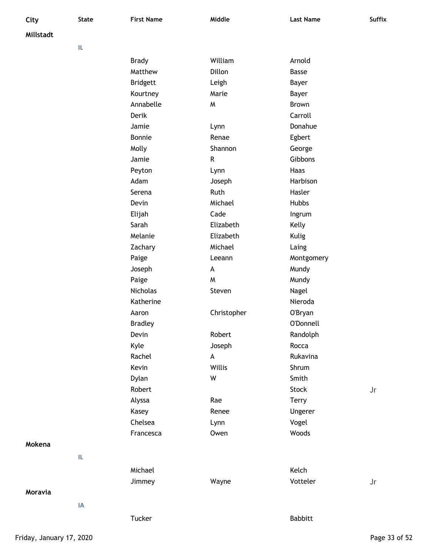|         |     | <b>Brady</b>    | William     | Arnold         |    |
|---------|-----|-----------------|-------------|----------------|----|
|         |     | Matthew         | Dillon      | <b>Basse</b>   |    |
|         |     | <b>Bridgett</b> | Leigh       | Bayer          |    |
|         |     | Kourtney        | Marie       | Bayer          |    |
|         |     | Annabelle       | W           | Brown          |    |
|         |     | Derik           |             | Carroll        |    |
|         |     | Jamie           | Lynn        | Donahue        |    |
|         |     | Bonnie          | Renae       | Egbert         |    |
|         |     | Molly           | Shannon     | George         |    |
|         |     | Jamie           | ${\sf R}$   | Gibbons        |    |
|         |     | Peyton          | Lynn        | Haas           |    |
|         |     | Adam            | Joseph      | Harbison       |    |
|         |     | Serena          | Ruth        | Hasler         |    |
|         |     | Devin           | Michael     | <b>Hubbs</b>   |    |
|         |     | Elijah          | Cade        | Ingrum         |    |
|         |     | Sarah           | Elizabeth   | Kelly          |    |
|         |     | Melanie         | Elizabeth   | Kulig          |    |
|         |     | Zachary         | Michael     | Laing          |    |
|         |     | Paige           | Leeann      | Montgomery     |    |
|         |     | Joseph          | A           | Mundy          |    |
|         |     | Paige           | M           | Mundy          |    |
|         |     | Nicholas        | Steven      | Nagel          |    |
|         |     | Katherine       |             | Nieroda        |    |
|         |     | Aaron           | Christopher | O'Bryan        |    |
|         |     | <b>Bradley</b>  |             | O'Donnell      |    |
|         |     | Devin           | Robert      | Randolph       |    |
|         |     | Kyle            | Joseph      | Rocca          |    |
|         |     | Rachel          | A           | Rukavina       |    |
|         |     | Kevin           | Willis      | Shrum          |    |
|         |     | Dylan           | W           | Smith          |    |
|         |     | Robert          |             | Stock          | Jr |
|         |     | Alyssa          | Rae         | <b>Terry</b>   |    |
|         |     | Kasey           | Renee       | Ungerer        |    |
|         |     | Chelsea         | Lynn        | Vogel          |    |
|         |     | Francesca       | Owen        | Woods          |    |
| Mokena  |     |                 |             |                |    |
|         | IL. |                 |             |                |    |
|         |     | Michael         |             | Kelch          |    |
|         |     | Jimmey          | Wayne       | Votteler       | Jr |
| Moravia |     |                 |             |                |    |
|         | IA  |                 |             |                |    |
|         |     |                 |             |                |    |
|         |     | Tucker          |             | <b>Babbitt</b> |    |

**City State First Name Middle Last Name Suffix**

**Millstadt**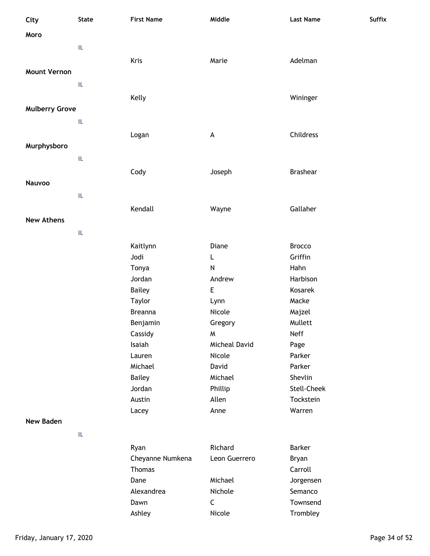| City                  | <b>State</b> | <b>First Name</b> | Middle        | <b>Last Name</b>   | Suffix |
|-----------------------|--------------|-------------------|---------------|--------------------|--------|
| Moro                  |              |                   |               |                    |        |
|                       | IL.          |                   |               |                    |        |
|                       |              |                   |               |                    |        |
|                       |              | Kris              | Marie         | Adelman            |        |
| <b>Mount Vernon</b>   |              |                   |               |                    |        |
|                       | IL           |                   |               |                    |        |
|                       |              | Kelly             |               | Wininger           |        |
| <b>Mulberry Grove</b> |              |                   |               |                    |        |
|                       | IL           |                   |               |                    |        |
|                       |              | Logan             | A             | Childress          |        |
| Murphysboro           |              |                   |               |                    |        |
|                       | IL           |                   |               |                    |        |
|                       |              |                   |               |                    |        |
|                       |              | Cody              | Joseph        | <b>Brashear</b>    |        |
| Nauvoo                |              |                   |               |                    |        |
|                       | IL           |                   |               |                    |        |
|                       |              | Kendall           | Wayne         | Gallaher           |        |
| <b>New Athens</b>     |              |                   |               |                    |        |
|                       | IL.          |                   |               |                    |        |
|                       |              | Kaitlynn          | Diane         | <b>Brocco</b>      |        |
|                       |              | Jodi              | L             | Griffin            |        |
|                       |              | Tonya             | ${\sf N}$     | Hahn               |        |
|                       |              | Jordan            | Andrew        | Harbison           |        |
|                       |              | <b>Bailey</b>     | E             | Kosarek            |        |
|                       |              | Taylor            | Lynn          | Macke              |        |
|                       |              | <b>Breanna</b>    | Nicole        | Majzel             |        |
|                       |              | Benjamin          | Gregory       | Mullett            |        |
|                       |              | Cassidy           | W             | Neff               |        |
|                       |              | Isaiah            | Micheal David | Page               |        |
|                       |              | Lauren            | Nicole        | Parker             |        |
|                       |              | Michael           | David         | Parker             |        |
|                       |              | <b>Bailey</b>     | Michael       | Shevlin            |        |
|                       |              | Jordan            | Phillip       | <b>Stell-Cheek</b> |        |
|                       |              | Austin            | Allen         | Tockstein          |        |
|                       |              | Lacey             | Anne          | Warren             |        |
| <b>New Baden</b>      |              |                   |               |                    |        |
|                       | IL           |                   |               |                    |        |
|                       |              | Ryan              | Richard       | <b>Barker</b>      |        |
|                       |              | Cheyanne Numkena  | Leon Guerrero | Bryan              |        |
|                       |              | <b>Thomas</b>     |               | Carroll            |        |
|                       |              | Dane              | Michael       | Jorgensen          |        |
|                       |              | Alexandrea        | Nichole       | Semanco            |        |
|                       |              | Dawn              | $\mathsf C$   | Townsend           |        |
|                       |              | Ashley            | Nicole        | Trombley           |        |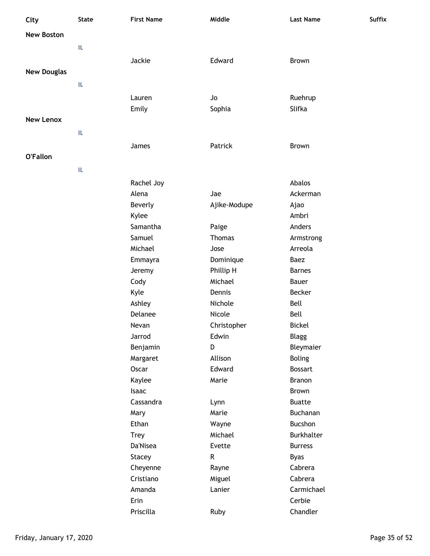| City               | <b>State</b> | <b>First Name</b>   | Middle        | <b>Last Name</b> | <b>Suffix</b> |
|--------------------|--------------|---------------------|---------------|------------------|---------------|
| <b>New Boston</b>  |              |                     |               |                  |               |
|                    | IL.          |                     |               |                  |               |
|                    |              | Jackie              | Edward        | Brown            |               |
|                    |              |                     |               |                  |               |
| <b>New Douglas</b> |              |                     |               |                  |               |
|                    | IL           |                     |               |                  |               |
|                    |              | Lauren              | Jo            | Ruehrup          |               |
|                    |              | Emily               | Sophia        | Slifka           |               |
| <b>New Lenox</b>   |              |                     |               |                  |               |
|                    | IL.          |                     |               |                  |               |
|                    |              | James               | Patrick       | Brown            |               |
| <b>O'Fallon</b>    |              |                     |               |                  |               |
|                    | IL           |                     |               |                  |               |
|                    |              |                     |               | Abalos           |               |
|                    |              | Rachel Joy<br>Alena | Jae           | Ackerman         |               |
|                    |              | Beverly             | Ajike-Modupe  | Ajao             |               |
|                    |              | Kylee               |               | Ambri            |               |
|                    |              | Samantha            | Paige         | Anders           |               |
|                    |              | Samuel              | <b>Thomas</b> | Armstrong        |               |
|                    |              | Michael             | Jose          | Arreola          |               |
|                    |              | Emmayra             | Dominique     | Baez             |               |
|                    |              | Jeremy              | Phillip H     | <b>Barnes</b>    |               |
|                    |              | Cody                | Michael       | Bauer            |               |
|                    |              | Kyle                | Dennis        | Becker           |               |
|                    |              | Ashley              | Nichole       | Bell             |               |
|                    |              | Delanee             | Nicole        | Bell             |               |
|                    |              | Nevan               | Christopher   | <b>Bickel</b>    |               |
|                    |              | Jarrod              | Edwin         | <b>Blagg</b>     |               |
|                    |              | Benjamin            | D             | Bleymaier        |               |
|                    |              | Margaret            | Allison       | <b>Boling</b>    |               |
|                    |              | Oscar               | Edward        | <b>Bossart</b>   |               |
|                    |              | Kaylee              | Marie         | <b>Branon</b>    |               |
|                    |              | Isaac               |               | Brown            |               |
|                    |              | Cassandra           | Lynn          | <b>Buatte</b>    |               |
|                    |              | Mary                | Marie         | Buchanan         |               |
|                    |              | Ethan               | Wayne         | Bucshon          |               |
|                    |              | <b>Trey</b>         | Michael       | Burkhalter       |               |
|                    |              | Da'Nisea            | Evette        | <b>Burress</b>   |               |
|                    |              | <b>Stacey</b>       | ${\sf R}$     | <b>Byas</b>      |               |
|                    |              | Cheyenne            | Rayne         | Cabrera          |               |
|                    |              | Cristiano           | Miguel        | Cabrera          |               |
|                    |              | Amanda              | Lanier        | Carmichael       |               |
|                    |              | Erin                |               | Cerbie           |               |
|                    |              | Priscilla           | Ruby          | Chandler         |               |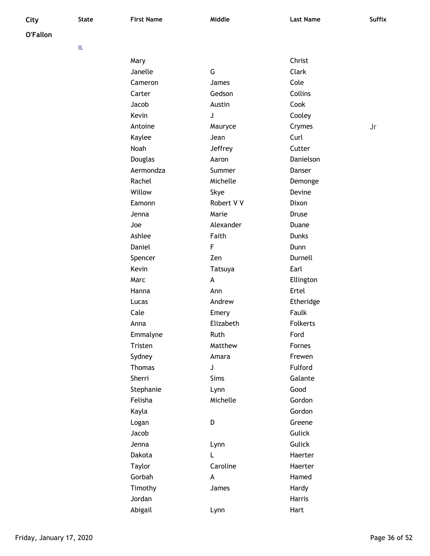**O'Fallon**

| Mary    |               |             | Christ          |    |
|---------|---------------|-------------|-----------------|----|
| Janelle |               | G           | Clark           |    |
|         | Cameron       | James       | Cole            |    |
| Carter  |               | Gedson      | Collins         |    |
| Jacob   |               | Austin      | Cook            |    |
| Kevin   |               | J           | Cooley          |    |
|         | Antoine       | Mauryce     | Crymes          | Jr |
| Kaylee  |               | Jean        | Curl            |    |
| Noah    |               | Jeffrey     | Cutter          |    |
|         | Douglas       | Aaron       | Danielson       |    |
|         | Aermondza     | Summer      | Danser          |    |
| Rachel  |               | Michelle    | Demonge         |    |
| Willow  |               | Skye        | Devine          |    |
|         | Eamonn        | Robert V V  | Dixon           |    |
| Jenna   |               | Marie       | Druse           |    |
| Joe     |               | Alexander   | Duane           |    |
| Ashlee  |               | Faith       | <b>Dunks</b>    |    |
| Daniel  |               | F           | Dunn            |    |
|         | Spencer       | Zen         | Durnell         |    |
| Kevin   |               | Tatsuya     | Earl            |    |
| Marc    |               | A           | Ellington       |    |
| Hanna   |               | Ann         | Ertel           |    |
| Lucas   |               | Andrew      | Etheridge       |    |
| Cale    |               | Emery       | Faulk           |    |
| Anna    |               | Elizabeth   | <b>Folkerts</b> |    |
|         | Emmalyne      | Ruth        | Ford            |    |
| Tristen |               | Matthew     | Fornes          |    |
| Sydney  |               | Amara       | Frewen          |    |
|         | <b>Thomas</b> | J           | Fulford         |    |
| Sherri  |               | <b>Sims</b> | Galante         |    |
|         | Stephanie     | Lynn        | Good            |    |
| Felisha |               | Michelle    | Gordon          |    |
| Kayla   |               |             | Gordon          |    |
| Logan   |               | D           | Greene          |    |
| Jacob   |               |             | Gulick          |    |
| Jenna   |               | Lynn        | Gulick          |    |
| Dakota  |               | L           | Haerter         |    |
| Taylor  |               | Caroline    | Haerter         |    |
| Gorbah  |               | A           | Hamed           |    |
|         | Timothy       | James       | Hardy           |    |
| Jordan  |               |             | Harris          |    |
| Abigail |               | Lynn        | Hart            |    |
|         |               |             |                 |    |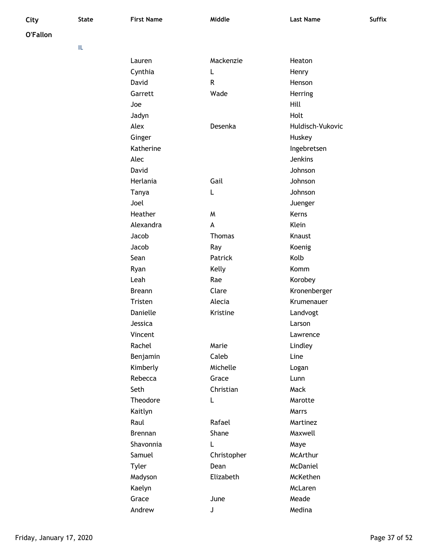| City            | <b>State</b> | <b>First Name</b> | Middle        | <b>Last Name</b> | Suffix |
|-----------------|--------------|-------------------|---------------|------------------|--------|
| <b>O'Fallon</b> |              |                   |               |                  |        |
|                 | IL.          |                   |               |                  |        |
|                 |              | Lauren            | Mackenzie     | Heaton           |        |
|                 |              | Cynthia           | L             | Henry            |        |
|                 |              | David             | R             | Henson           |        |
|                 |              | Garrett           | Wade          | Herring          |        |
|                 |              | Joe               |               | Hill             |        |
|                 |              | Jadyn             |               | Holt             |        |
|                 |              | Alex              | Desenka       | Huldisch-Vukovic |        |
|                 |              | Ginger            |               | Huskey           |        |
|                 |              | Katherine         |               | Ingebretsen      |        |
|                 |              | Alec              |               | Jenkins          |        |
|                 |              | David             |               | Johnson          |        |
|                 |              | Herlania          | Gail          | Johnson          |        |
|                 |              | Tanya             | L             | Johnson          |        |
|                 |              | Joel              |               | Juenger          |        |
|                 |              | Heather           | M             | Kerns            |        |
|                 |              | Alexandra         | A             | Klein            |        |
|                 |              | Jacob             | <b>Thomas</b> | Knaust           |        |
|                 |              | Jacob             | Ray           | Koenig           |        |
|                 |              | Sean              | Patrick       | Kolb             |        |
|                 |              | Ryan              | Kelly         | Komm             |        |
|                 |              | Leah              | Rae           | Korobey          |        |
|                 |              | <b>Breann</b>     | Clare         | Kronenberger     |        |
|                 |              | Tristen           | Alecia        | Krumenauer       |        |
|                 |              | Danielle          | Kristine      | Landvogt         |        |
|                 |              | Jessica           |               | Larson           |        |
|                 |              | Vincent           |               | Lawrence         |        |
|                 |              | Rachel            | Marie         | Lindley          |        |
|                 |              |                   | Caleb         |                  |        |
|                 |              | Benjamin          | Michelle      | Line             |        |
|                 |              | Kimberly          |               | Logan            |        |
|                 |              | Rebecca           | Grace         | Lunn             |        |
|                 |              | Seth              | Christian     | Mack             |        |
|                 |              | Theodore          | L             | Marotte          |        |
|                 |              | Kaitlyn           |               | Marrs            |        |
|                 |              | Raul              | Rafael        | Martinez         |        |
|                 |              | Brennan           | Shane         | Maxwell          |        |
|                 |              | Shavonnia         | L             | Maye             |        |
|                 |              | Samuel            | Christopher   | McArthur         |        |
|                 |              | Tyler             | Dean          | McDaniel         |        |
|                 |              | Madyson           | Elizabeth     | McKethen         |        |
|                 |              | Kaelyn            |               | McLaren          |        |
|                 |              | Grace             | June          | Meade            |        |
|                 |              | Andrew            | J             | Medina           |        |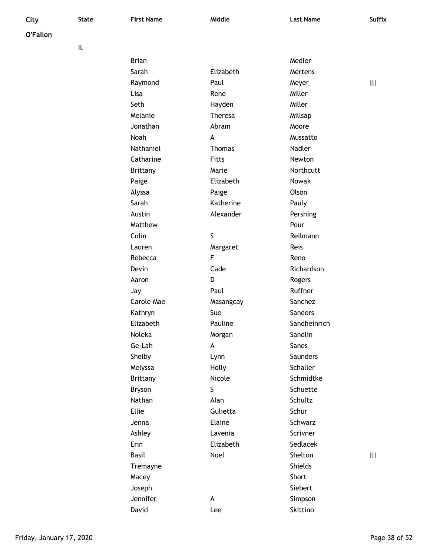**O'Fallon**

| <b>Brian</b>      |                | Medler          |   |
|-------------------|----------------|-----------------|---|
| Sarah             | Elizabeth      | Mertens         |   |
| Raymond           | Paul           | Meyer           | Ш |
| Lisa              | Rene           | Miller          |   |
| Seth              | Hayden         | Miller          |   |
| Melanie           | <b>Theresa</b> | Millsap         |   |
| Jonathan          | Abram          | Moore           |   |
| Noah              | A              | Mussatto        |   |
| Nathaniel         | Thomas         | Nadler          |   |
| Catharine         | <b>Fitts</b>   | Newton          |   |
| <b>Brittany</b>   | Marie          | Northcutt       |   |
| Paige             | Elizabeth      | <b>Nowak</b>    |   |
| Alyssa            | Paige          | Olson           |   |
| Sarah             | Katherine      | Pauly           |   |
| Austin            | Alexander      | Pershing        |   |
| Matthew           |                | Pour            |   |
| Colin             | S              | Reilmann        |   |
| Lauren            | Margaret       | Reis            |   |
| Rebecca           | F              | Reno            |   |
| Devin             | Cade           | Richardson      |   |
| Aaron             | D              | Rogers          |   |
| Jay               | Paul           | Ruffner         |   |
| <b>Carole Mae</b> | Masangcay      | Sanchez         |   |
| Kathryn           | Sue            | <b>Sanders</b>  |   |
| Elizabeth         | Pauline        | Sandheinrich    |   |
| Noleka            | Morgan         | Sandlin         |   |
| Ge-Lah            | A              | <b>Sanes</b>    |   |
| Shelby            | Lynn           | <b>Saunders</b> |   |
| Melyssa           | Holly          | Schaller        |   |
| <b>Brittany</b>   | Nicole         | Schmidtke       |   |
| Bryson            | $\sf S$        | Schuette        |   |
| Nathan            | Alan           | Schultz         |   |
| Ellie             | Gulietta       | Schur           |   |
| Jenna             | Elaine         | Schwarz         |   |
| Ashley            | Lavenia        | Scrivner        |   |
| Erin              | Elizabeth      | Sedlacek        |   |
| <b>Basil</b>      | Noel           | Shelton         |   |
| Tremayne          |                | <b>Shields</b>  |   |
| Macey             |                | Short           |   |
| Joseph            |                | Siebert         |   |
| Jennifer          | A              | Simpson         |   |
| David             | Lee            | Skittino        |   |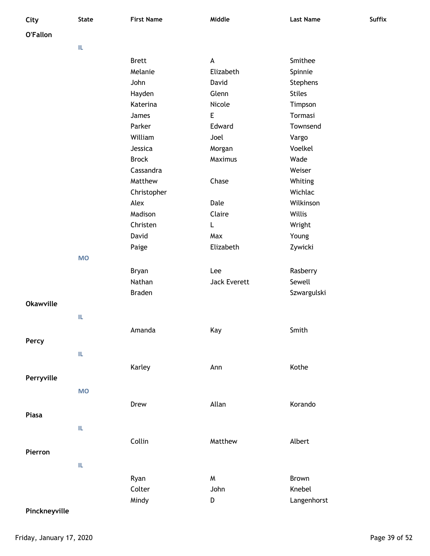| City             | <b>State</b> | <b>First Name</b>  | Middle                    | <b>Last Name</b>          | Suffix |
|------------------|--------------|--------------------|---------------------------|---------------------------|--------|
| O'Fallon         |              |                    |                           |                           |        |
|                  | IL.          |                    |                           |                           |        |
|                  |              | <b>Brett</b>       | $\boldsymbol{\mathsf{A}}$ | Smithee                   |        |
|                  |              | Melanie            | Elizabeth                 | Spinnie                   |        |
|                  |              | John               | David                     |                           |        |
|                  |              |                    | Glenn                     | Stephens<br><b>Stiles</b> |        |
|                  |              | Hayden<br>Katerina |                           |                           |        |
|                  |              |                    | Nicole<br>$\mathsf E$     | Timpson<br>Tormasi        |        |
|                  |              | James              |                           |                           |        |
|                  |              | Parker             | Edward                    | Townsend                  |        |
|                  |              | William            | Joel                      | Vargo                     |        |
|                  |              | Jessica            | Morgan                    | Voelkel                   |        |
|                  |              | <b>Brock</b>       | Maximus                   | Wade                      |        |
|                  |              | Cassandra          |                           | Weiser                    |        |
|                  |              | Matthew            | Chase                     | Whiting                   |        |
|                  |              | Christopher        |                           | Wichlac                   |        |
|                  |              | Alex               | Dale                      | Wilkinson                 |        |
|                  |              | Madison            | Claire                    | Willis                    |        |
|                  |              | Christen           | L                         | Wright                    |        |
|                  |              | David              | Max                       | Young                     |        |
|                  |              | Paige              | Elizabeth                 | Zywicki                   |        |
|                  | <b>MO</b>    |                    |                           |                           |        |
|                  |              | Bryan              | Lee                       | Rasberry                  |        |
|                  |              | Nathan             | Jack Everett              | Sewell                    |        |
|                  |              | <b>Braden</b>      |                           | Szwargulski               |        |
| <b>Okawville</b> |              |                    |                           |                           |        |
|                  | IL.          |                    |                           |                           |        |
|                  |              | Amanda             | Kay                       | Smith                     |        |
| Percy            |              |                    |                           |                           |        |
|                  |              |                    |                           |                           |        |
|                  | IL.          |                    |                           |                           |        |
|                  |              | Karley             | Ann                       | Kothe                     |        |
| Perryville       |              |                    |                           |                           |        |
|                  | <b>MO</b>    |                    |                           |                           |        |
|                  |              | Drew               | Allan                     | Korando                   |        |
| Piasa            |              |                    |                           |                           |        |
|                  | IL.          |                    |                           |                           |        |
|                  |              |                    |                           |                           |        |
|                  |              | Collin             | Matthew                   | Albert                    |        |
| Pierron          |              |                    |                           |                           |        |
|                  | IL.          |                    |                           |                           |        |
|                  |              | Ryan               | W                         | Brown                     |        |
|                  |              | Colter             | John                      | Knebel                    |        |
|                  |              | Mindy              | D                         | Langenhorst               |        |
| Pinckneyville    |              |                    |                           |                           |        |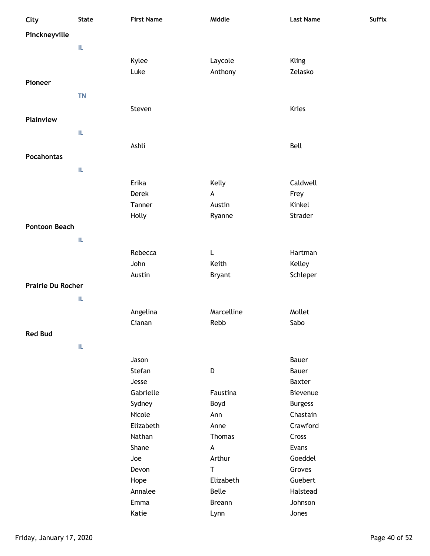| City                 | <b>State</b> | <b>First Name</b> | Middle        | <b>Last Name</b> | Suffix |
|----------------------|--------------|-------------------|---------------|------------------|--------|
| Pinckneyville        |              |                   |               |                  |        |
|                      | IL.          |                   |               |                  |        |
|                      |              |                   |               |                  |        |
|                      |              | Kylee             | Laycole       | <b>Kling</b>     |        |
|                      |              | Luke              | Anthony       | Zelasko          |        |
| Pioneer              |              |                   |               |                  |        |
|                      | <b>TN</b>    |                   |               |                  |        |
|                      |              | Steven            |               | <b>Kries</b>     |        |
| Plainview            |              |                   |               |                  |        |
|                      | IL           |                   |               |                  |        |
|                      |              | Ashli             |               | Bell             |        |
| <b>Pocahontas</b>    |              |                   |               |                  |        |
|                      | IL.          |                   |               |                  |        |
|                      |              |                   |               |                  |        |
|                      |              | Erika             | Kelly         | Caldwell         |        |
|                      |              | <b>Derek</b>      | A             | Frey             |        |
|                      |              | Tanner            | Austin        | Kinkel           |        |
|                      |              | Holly             | Ryanne        | Strader          |        |
| <b>Pontoon Beach</b> |              |                   |               |                  |        |
|                      | IL           |                   |               |                  |        |
|                      |              | Rebecca           | L             | Hartman          |        |
|                      |              | John              | Keith         | Kelley           |        |
|                      |              | Austin            | <b>Bryant</b> | Schleper         |        |
| Prairie Du Rocher    |              |                   |               |                  |        |
|                      | IL.          |                   |               |                  |        |
|                      |              | Angelina          | Marcelline    | Mollet           |        |
|                      |              | Cianan            | Rebb          | Sabo             |        |
| <b>Red Bud</b>       |              |                   |               |                  |        |
|                      | IL.          |                   |               |                  |        |
|                      |              |                   |               |                  |        |
|                      |              | Jason             |               | Bauer            |        |
|                      |              | Stefan            | D             | Bauer            |        |
|                      |              | Jesse             |               | <b>Baxter</b>    |        |
|                      |              | Gabrielle         | Faustina      | Bievenue         |        |
|                      |              | Sydney            | Boyd          | <b>Burgess</b>   |        |
|                      |              | Nicole            | Ann           | Chastain         |        |
|                      |              | Elizabeth         | Anne          | Crawford         |        |
|                      |              | Nathan            | <b>Thomas</b> | Cross            |        |
|                      |              | Shane             | A             | Evans            |        |
|                      |              | Joe               | Arthur        | Goeddel          |        |
|                      |              | Devon             | $\mathsf{T}$  | Groves           |        |
|                      |              | Hope              | Elizabeth     | Guebert          |        |
|                      |              | Annalee           | Belle         | Halstead         |        |
|                      |              | Emma              | <b>Breann</b> | Johnson          |        |
|                      |              | Katie             | Lynn          | Jones            |        |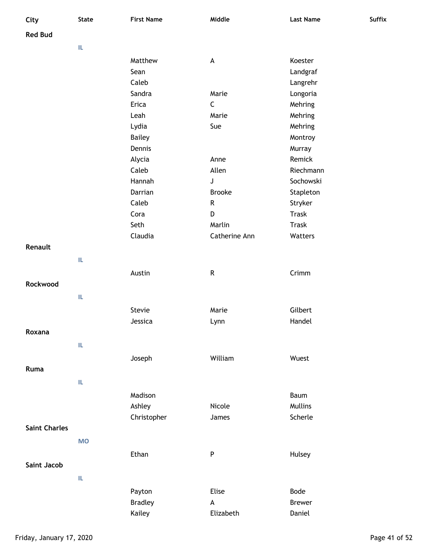| City                 | <b>State</b> | <b>First Name</b> | Middle        | <b>Last Name</b> | Suffix |
|----------------------|--------------|-------------------|---------------|------------------|--------|
| <b>Red Bud</b>       |              |                   |               |                  |        |
|                      | IL.          |                   |               |                  |        |
|                      |              |                   |               |                  |        |
|                      |              | Matthew           | A             | Koester          |        |
|                      |              | Sean              |               | Landgraf         |        |
|                      |              | Caleb             |               | Langrehr         |        |
|                      |              | Sandra            | Marie         | Longoria         |        |
|                      |              | Erica             | $\mathsf C$   | Mehring          |        |
|                      |              | Leah              | Marie         | Mehring          |        |
|                      |              | Lydia             | Sue           | Mehring          |        |
|                      |              | <b>Bailey</b>     |               | Montroy          |        |
|                      |              | Dennis            |               | Murray           |        |
|                      |              | Alycia            | Anne          | Remick           |        |
|                      |              | Caleb             | Allen         | Riechmann        |        |
|                      |              | Hannah            | J             | Sochowski        |        |
|                      |              | Darrian           | <b>Brooke</b> | Stapleton        |        |
|                      |              | Caleb             | ${\sf R}$     | Stryker          |        |
|                      |              | Cora              | D             | <b>Trask</b>     |        |
|                      |              | Seth              | Marlin        | <b>Trask</b>     |        |
|                      |              | Claudia           | Catherine Ann | Watters          |        |
| Renault              |              |                   |               |                  |        |
|                      | IL           |                   |               |                  |        |
|                      |              | Austin            | ${\sf R}$     | Crimm            |        |
| Rockwood             |              |                   |               |                  |        |
|                      |              |                   |               |                  |        |
|                      | IL.          |                   |               |                  |        |
|                      |              | Stevie            | Marie         | Gilbert          |        |
|                      |              | Jessica           | Lynn          | Handel           |        |
| Roxana               |              |                   |               |                  |        |
|                      | IL.          |                   |               |                  |        |
|                      |              | Joseph            | William       | Wuest            |        |
| Ruma                 |              |                   |               |                  |        |
|                      |              |                   |               |                  |        |
|                      | IL.          |                   |               |                  |        |
|                      |              | Madison           |               | Baum             |        |
|                      |              | Ashley            | Nicole        | Mullins          |        |
|                      |              | Christopher       | James         | Scherle          |        |
| <b>Saint Charles</b> |              |                   |               |                  |        |
|                      | <b>MO</b>    |                   |               |                  |        |
|                      |              | Ethan             | P             | Hulsey           |        |
| Saint Jacob          |              |                   |               |                  |        |
|                      | IL           |                   |               |                  |        |
|                      |              |                   |               |                  |        |
|                      |              | Payton            | Elise         | <b>Bode</b>      |        |
|                      |              | <b>Bradley</b>    | A             | <b>Brewer</b>    |        |
|                      |              | Kailey            | Elizabeth     | Daniel           |        |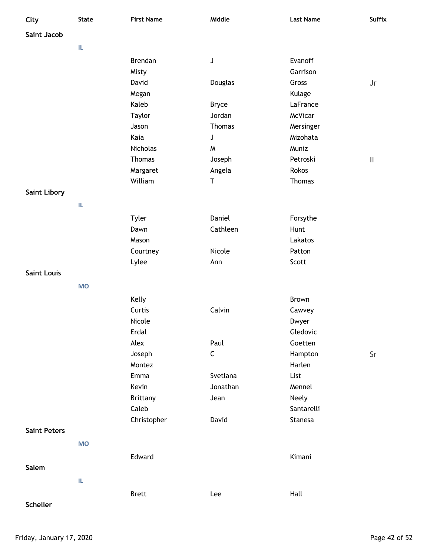| City                | <b>State</b> | <b>First Name</b> | Middle       | <b>Last Name</b> | Suffix       |
|---------------------|--------------|-------------------|--------------|------------------|--------------|
| Saint Jacob         |              |                   |              |                  |              |
|                     | IL           |                   |              |                  |              |
|                     |              | Brendan           | J            | Evanoff          |              |
|                     |              | Misty             |              | Garrison         |              |
|                     |              | David             | Douglas      | Gross            | Jr           |
|                     |              | Megan             |              | Kulage           |              |
|                     |              | Kaleb             | <b>Bryce</b> | LaFrance         |              |
|                     |              | Taylor            | Jordan       | <b>McVicar</b>   |              |
|                     |              | Jason             | Thomas       | Mersinger        |              |
|                     |              | Kaia              | J            | Mizohata         |              |
|                     |              | Nicholas          | W            | Muniz            |              |
|                     |              | Thomas            | Joseph       | Petroski         | $\vert\vert$ |
|                     |              | Margaret          | Angela       | <b>Rokos</b>     |              |
|                     |              | William           | $\sf T$      | Thomas           |              |
| <b>Saint Libory</b> |              |                   |              |                  |              |
|                     | IL.          |                   |              |                  |              |
|                     |              | Tyler             | Daniel       | Forsythe         |              |
|                     |              | Dawn              | Cathleen     | Hunt             |              |
|                     |              | Mason             |              | Lakatos          |              |
|                     |              | Courtney          | Nicole       | Patton           |              |
|                     |              | Lylee             | Ann          | Scott            |              |
| <b>Saint Louis</b>  |              |                   |              |                  |              |
|                     | <b>MO</b>    |                   |              |                  |              |
|                     |              | Kelly             |              | Brown            |              |
|                     |              | Curtis            | Calvin       | Cawvey           |              |
|                     |              | Nicole            |              | Dwyer            |              |
|                     |              | Erdal             |              | Gledovic         |              |
|                     |              | Alex              | Paul         | Goetten          |              |
|                     |              | Joseph            | $\mathsf C$  | Hampton          | Sr           |
|                     |              | Montez            |              | Harlen           |              |
|                     |              | Emma              | Svetlana     | List             |              |
|                     |              | Kevin             | Jonathan     | Mennel           |              |
|                     |              | Brittany          | Jean         | Neely            |              |
|                     |              | Caleb             |              | Santarelli       |              |
|                     |              | Christopher       | David        | Stanesa          |              |
| <b>Saint Peters</b> |              |                   |              |                  |              |
|                     | <b>MO</b>    |                   |              |                  |              |
|                     |              | Edward            |              | Kimani           |              |
| Salem               |              |                   |              |                  |              |
|                     | IL.          |                   |              |                  |              |
|                     |              | <b>Brett</b>      | Lee          | Hall             |              |
| Scheller            |              |                   |              |                  |              |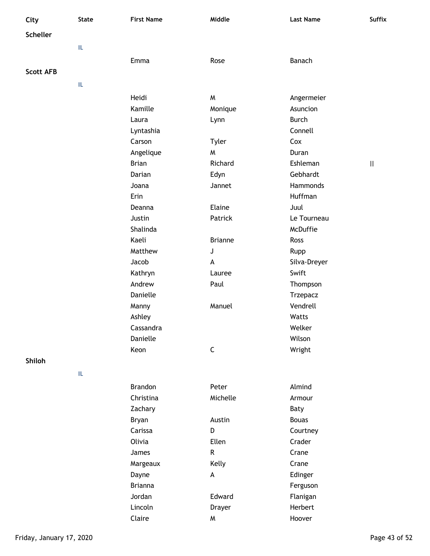| City             | <b>State</b> | <b>First Name</b>     | Middle         | <b>Last Name</b> | Suffix                                |
|------------------|--------------|-----------------------|----------------|------------------|---------------------------------------|
| Scheller         |              |                       |                |                  |                                       |
|                  | IL           |                       |                |                  |                                       |
|                  |              |                       |                |                  |                                       |
| <b>Scott AFB</b> |              | Emma                  | Rose           | Banach           |                                       |
|                  |              |                       |                |                  |                                       |
|                  | IL           |                       |                |                  |                                       |
|                  |              | Heidi                 | M              | Angermeier       |                                       |
|                  |              | Kamille               | Monique        | Asuncion         |                                       |
|                  |              | Laura                 | Lynn           | <b>Burch</b>     |                                       |
|                  |              | Lyntashia             |                | Connell          |                                       |
|                  |              | Carson                | Tyler          | Cox              |                                       |
|                  |              | Angelique             | M              | Duran            |                                       |
|                  |              | <b>Brian</b>          | Richard        | Eshleman         | $\begin{array}{c} \hline \end{array}$ |
|                  |              | Darian                | Edyn           | Gebhardt         |                                       |
|                  |              | Joana                 | Jannet         | Hammonds         |                                       |
|                  |              | Erin                  |                | Huffman          |                                       |
|                  |              | Deanna                | Elaine         | Juul             |                                       |
|                  |              | Justin                | Patrick        | Le Tourneau      |                                       |
|                  |              | Shalinda              |                | McDuffie         |                                       |
|                  |              | Kaeli                 | <b>Brianne</b> | Ross             |                                       |
|                  |              | Matthew               | J              | Rupp             |                                       |
|                  |              | Jacob                 | A              | Silva-Dreyer     |                                       |
|                  |              | Kathryn               | Lauree         | Swift            |                                       |
|                  |              | Andrew                | Paul           | Thompson         |                                       |
|                  |              | Danielle              |                | Trzepacz         |                                       |
|                  |              | Manny                 | Manuel         | Vendrell         |                                       |
|                  |              | Ashley                |                | Watts            |                                       |
|                  |              | Cassandra<br>Danielle |                | Welker<br>Wilson |                                       |
|                  |              | Keon                  | $\mathsf C$    | Wright           |                                       |
| Shiloh           |              |                       |                |                  |                                       |
|                  |              |                       |                |                  |                                       |
|                  | IL           |                       |                |                  |                                       |
|                  |              | <b>Brandon</b>        | Peter          | Almind           |                                       |
|                  |              | Christina             | Michelle       | Armour           |                                       |
|                  |              | Zachary               |                | Baty             |                                       |
|                  |              | Bryan                 | Austin         | <b>Bouas</b>     |                                       |
|                  |              | Carissa               | D              | Courtney         |                                       |
|                  |              | Olivia                | Ellen          | Crader           |                                       |
|                  |              | James                 | ${\sf R}$      | Crane            |                                       |
|                  |              | Margeaux              | Kelly          | Crane            |                                       |
|                  |              | Dayne                 | A              | Edinger          |                                       |
|                  |              | <b>Brianna</b>        |                | Ferguson         |                                       |
|                  |              | Jordan                | Edward         | Flanigan         |                                       |
|                  |              | Lincoln               | <b>Drayer</b>  | Herbert          |                                       |
|                  |              | Claire                | W              | Hoover           |                                       |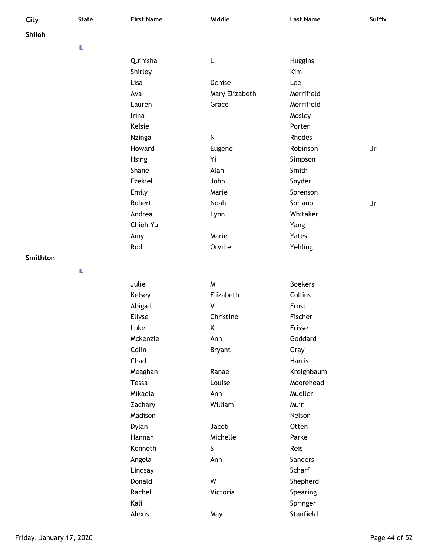| City     | <b>State</b> | <b>First Name</b> | Middle         | <b>Last Name</b> | Suffix |
|----------|--------------|-------------------|----------------|------------------|--------|
| Shiloh   |              |                   |                |                  |        |
|          | IL           |                   |                |                  |        |
|          |              | Quinisha          | L              | Huggins          |        |
|          |              | Shirley           |                | Kim              |        |
|          |              | Lisa              | Denise         | Lee              |        |
|          |              | Ava               | Mary Elizabeth | Merrifield       |        |
|          |              | Lauren            | Grace          | Merrifield       |        |
|          |              | Irina             |                | Mosley           |        |
|          |              | Kelsie            |                | Porter           |        |
|          |              | Nzinga            | ${\sf N}$      | Rhodes           |        |
|          |              | Howard            | Eugene         | Robinson         | Jr     |
|          |              | <b>Hsing</b>      | Yi             | Simpson          |        |
|          |              | Shane             | Alan           | Smith            |        |
|          |              | <b>Ezekiel</b>    | John           | Snyder           |        |
|          |              | Emily             | Marie          | Sorenson         |        |
|          |              | Robert            | Noah           | Soriano          | Jr     |
|          |              | Andrea            | Lynn           | Whitaker         |        |
|          |              | Chieh Yu          |                | Yang             |        |
|          |              | Amy               | Marie          | Yates            |        |
|          |              | Rod               | Orville        | Yehling          |        |
| Smithton |              |                   |                |                  |        |
|          | IL.          |                   |                |                  |        |
|          |              | Julie             | M              | <b>Boekers</b>   |        |
|          |              | Kelsey            | Elizabeth      | Collins          |        |
|          |              | Abigail           | $\sf V$        | Ernst            |        |
|          |              | Ellyse            | Christine      | Fischer          |        |
|          |              | Luke              | K              | Frisse           |        |
|          |              | Mckenzie          | Ann            | Goddard          |        |
|          |              | Colin             | <b>Bryant</b>  | Gray             |        |
|          |              | Chad              |                | Harris           |        |
|          |              | Meaghan           | Ranae          | Kreighbaum       |        |
|          |              | Tessa             | Louise         | Moorehead        |        |
|          |              | Mikaela           | Ann            | Mueller          |        |
|          |              | Zachary           | William        | Muir             |        |
|          |              | Madison           |                | Nelson           |        |
|          |              | Dylan             | Jacob          | Otten            |        |
|          |              | Hannah            | Michelle       | Parke            |        |
|          |              | Kenneth           | $\mathsf S$    | Reis             |        |
|          |              | Angela            | Ann            | Sanders          |        |
|          |              | Lindsay           |                | Scharf           |        |
|          |              | Donald            | W              | Shepherd         |        |
|          |              | Rachel            | Victoria       | Spearing         |        |
|          |              | Kali              |                | Springer         |        |
|          |              | Alexis            | May            | Stanfield        |        |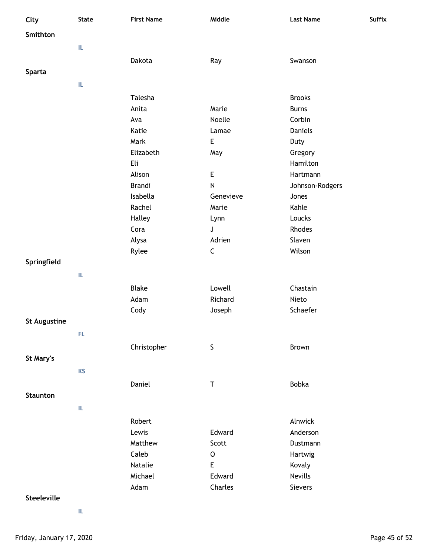| City                | <b>State</b> | <b>First Name</b> | Middle      | <b>Last Name</b> | Suffix |
|---------------------|--------------|-------------------|-------------|------------------|--------|
| Smithton            |              |                   |             |                  |        |
|                     | IL.          |                   |             |                  |        |
|                     |              | Dakota            | Ray         | Swanson          |        |
| Sparta              |              |                   |             |                  |        |
|                     |              |                   |             |                  |        |
|                     | IL           |                   |             |                  |        |
|                     |              | Talesha           |             | <b>Brooks</b>    |        |
|                     |              | Anita             | Marie       | <b>Burns</b>     |        |
|                     |              | Ava               | Noelle      | Corbin           |        |
|                     |              | Katie             | Lamae       | <b>Daniels</b>   |        |
|                     |              | Mark              | E           | Duty             |        |
|                     |              | Elizabeth         | May         | Gregory          |        |
|                     |              | Eli               |             | Hamilton         |        |
|                     |              | Alison            | E           | Hartmann         |        |
|                     |              | Brandi            | ${\sf N}$   | Johnson-Rodgers  |        |
|                     |              | Isabella          | Genevieve   | Jones            |        |
|                     |              | Rachel            | Marie       | Kahle            |        |
|                     |              | Halley            | Lynn        | Loucks           |        |
|                     |              | Cora              | J           | Rhodes           |        |
|                     |              | Alysa             | Adrien      | Slaven           |        |
|                     |              | Rylee             | $\mathsf C$ | Wilson           |        |
| Springfield         |              |                   |             |                  |        |
|                     | IL.          |                   |             |                  |        |
|                     |              | <b>Blake</b>      | Lowell      | Chastain         |        |
|                     |              | Adam              | Richard     | Nieto            |        |
|                     |              | Cody              | Joseph      | Schaefer         |        |
| <b>St Augustine</b> |              |                   |             |                  |        |
|                     | FL.          |                   |             |                  |        |
|                     |              |                   |             |                  |        |
|                     |              | Christopher       | $\sf S$     | Brown            |        |
| St Mary's           |              |                   |             |                  |        |
|                     | <b>KS</b>    |                   |             |                  |        |
|                     |              | Daniel            | $\sf T$     | Bobka            |        |
| <b>Staunton</b>     |              |                   |             |                  |        |
|                     | IL           |                   |             |                  |        |
|                     |              | Robert            |             | Alnwick          |        |
|                     |              | Lewis             | Edward      | Anderson         |        |
|                     |              | Matthew           | Scott       | Dustmann         |        |
|                     |              | Caleb             | $\mathsf O$ | Hartwig          |        |
|                     |              | Natalie           | E           | Kovaly           |        |
|                     |              | Michael           | Edward      | Nevills          |        |
|                     |              | Adam              | Charles     | Sievers          |        |
| Steeleville         |              |                   |             |                  |        |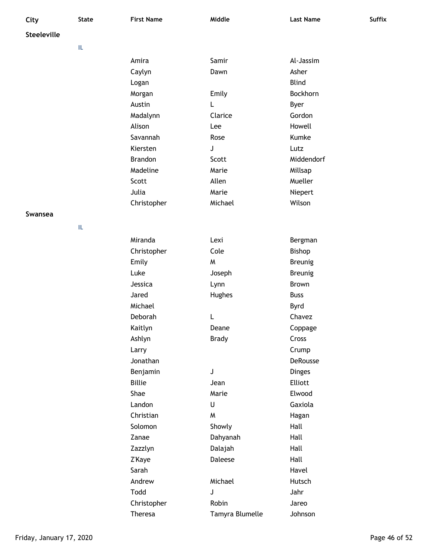| City        | <b>State</b> | <b>First Name</b> | Middle       | <b>Last Name</b> | Suffix |
|-------------|--------------|-------------------|--------------|------------------|--------|
| Steeleville |              |                   |              |                  |        |
|             | IL           |                   |              |                  |        |
|             |              | Amira             | Samir        | Al-Jassim        |        |
|             |              | Caylyn            | Dawn         | Asher            |        |
|             |              | Logan             |              | <b>Blind</b>     |        |
|             |              | Morgan            | Emily        | Bockhorn         |        |
|             |              | Austin            | L            | Byer             |        |
|             |              | Madalynn          | Clarice      | Gordon           |        |
|             |              | Alison            | Lee          | Howell           |        |
|             |              | Savannah          | Rose         | Kumke            |        |
|             |              | Kiersten          | J            | Lutz             |        |
|             |              | <b>Brandon</b>    | Scott        | Middendorf       |        |
|             |              | Madeline          | Marie        | Millsap          |        |
|             |              | Scott             | Allen        | Mueller          |        |
|             |              | Julia             | Marie        | Niepert          |        |
|             |              | Christopher       | Michael      | Wilson           |        |
| Swansea     |              |                   |              |                  |        |
|             | IL.          |                   |              |                  |        |
|             |              | Miranda           | Lexi         | Bergman          |        |
|             |              | Christopher       | Cole         | <b>Bishop</b>    |        |
|             |              | Emily             | W            | <b>Breunig</b>   |        |
|             |              | Luke              | Joseph       | <b>Breunig</b>   |        |
|             |              | Jessica           | Lynn         | Brown            |        |
|             |              | Jared             | Hughes       | <b>Buss</b>      |        |
|             |              | Michael           |              | Byrd             |        |
|             |              | Deborah           | L            | Chavez           |        |
|             |              | Kaitlyn           | Deane        | Coppage          |        |
|             |              | Ashlyn            | <b>Brady</b> | Cross            |        |
|             |              | Larry             |              | Crump            |        |
|             |              | Jonathan          |              | DeRousse         |        |
|             |              | Benjamin          | J            | <b>Dinges</b>    |        |
|             |              | <b>Billie</b>     | Jean         | Elliott          |        |
|             |              | Shae              | Marie        | Elwood           |        |
|             |              | Landon            | $\sf U$      | Gaxiola          |        |
|             |              | Christian         | W            | Hagan            |        |
|             |              | Solomon           | Showly       | Hall             |        |
|             |              | Zanae             | Dahyanah     | Hall             |        |
|             |              | Zazzlyn           | Dalajah      | Hall             |        |
|             |              | Z'Kaye            | Daleese      | Hall             |        |
|             |              | Sarah             |              | Havel            |        |
|             |              | Andrew            | Michael      | Hutsch           |        |
|             |              | Todd              | J            | Jahr             |        |
|             |              | Christopher       | Robin        | Jareo            |        |

Theresa Tamyra Blumelle Johnson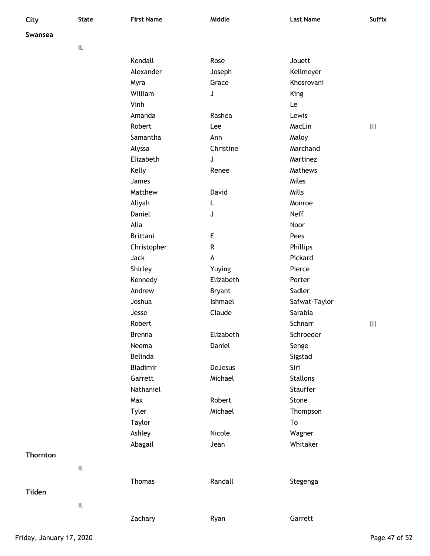| City     | <b>State</b> | <b>First Name</b> | Middle        | <b>Last Name</b> | <b>Suffix</b>                         |
|----------|--------------|-------------------|---------------|------------------|---------------------------------------|
| Swansea  |              |                   |               |                  |                                       |
|          | IL           |                   |               |                  |                                       |
|          |              | Kendall           | Rose          | Jouett           |                                       |
|          |              | Alexander         | Joseph        | Kellmeyer        |                                       |
|          |              | Myra              | Grace         | Khosrovani       |                                       |
|          |              | William           | J             | King             |                                       |
|          |              | Vinh              |               | Le               |                                       |
|          |              | Amanda            | Rashea        | Lewis            |                                       |
|          |              | Robert            | Lee           | MacLin           | $\begin{array}{c} \hline \end{array}$ |
|          |              | Samantha          | Ann           | Maloy            |                                       |
|          |              | Alyssa            | Christine     | Marchand         |                                       |
|          |              | Elizabeth         | J             | Martinez         |                                       |
|          |              | Kelly             | Renee         | Mathews          |                                       |
|          |              | James             |               | Miles            |                                       |
|          |              | Matthew           | David         | Mills            |                                       |
|          |              | Aliyah            | L             | Monroe           |                                       |
|          |              | Daniel            | J             | <b>Neff</b>      |                                       |
|          |              | Alia              |               | Noor             |                                       |
|          |              | <b>Brittani</b>   | E             | Pees             |                                       |
|          |              | Christopher       | $\mathsf{R}$  | Phillips         |                                       |
|          |              | Jack              | A             | Pickard          |                                       |
|          |              | Shirley           | Yuying        | Pierce           |                                       |
|          |              | Kennedy           | Elizabeth     | Porter           |                                       |
|          |              | Andrew            | <b>Bryant</b> | Sadler           |                                       |
|          |              | Joshua            | Ishmael       | Safwat-Taylor    |                                       |
|          |              | Jesse             | Claude        | Sarabia          |                                       |
|          |              | Robert            |               | Schnarr          | Ш                                     |
|          |              | <b>Brenna</b>     | Elizabeth     | Schroeder        |                                       |
|          |              | Neema             | Daniel        | Senge            |                                       |
|          |              | Belinda           |               | Sigstad          |                                       |
|          |              | <b>Bladimir</b>   | DeJesus       | Siri             |                                       |
|          |              | Garrett           | Michael       | <b>Stallons</b>  |                                       |
|          |              | Nathaniel         |               | Stauffer         |                                       |
|          |              | Max               | Robert        | Stone            |                                       |
|          |              | Tyler             | Michael       | Thompson         |                                       |
|          |              | Taylor            |               | To               |                                       |
|          |              | Ashley            | Nicole        | Wagner           |                                       |
|          |              | Abagail           | Jean          | Whitaker         |                                       |
| Thornton |              |                   |               |                  |                                       |
|          | IL.          |                   |               |                  |                                       |
|          |              | <b>Thomas</b>     | Randall       | Stegenga         |                                       |
| Tilden   |              |                   |               |                  |                                       |
|          | IL           |                   |               |                  |                                       |
|          |              |                   |               |                  |                                       |
|          |              | Zachary           | Ryan          | Garrett          |                                       |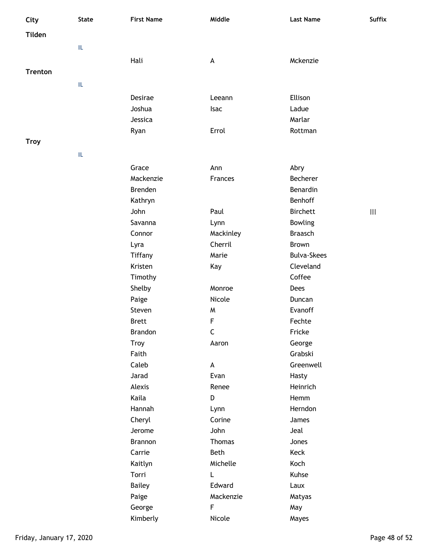| City           | <b>State</b> | <b>First Name</b> | Middle      | <b>Last Name</b>   | <b>Suffix</b> |
|----------------|--------------|-------------------|-------------|--------------------|---------------|
| Tilden         |              |                   |             |                    |               |
|                | IL           |                   |             |                    |               |
|                |              | Hali              | A           | Mckenzie           |               |
| <b>Trenton</b> |              |                   |             |                    |               |
|                | IL           |                   |             |                    |               |
|                |              |                   |             |                    |               |
|                |              | Desirae           | Leeann      | Ellison            |               |
|                |              | Joshua            | <b>Isac</b> | Ladue              |               |
|                |              | Jessica           |             | Marlar             |               |
| <b>Troy</b>    |              | Ryan              | Errol       | Rottman            |               |
|                |              |                   |             |                    |               |
|                | IL           |                   |             |                    |               |
|                |              | Grace             | Ann         | Abry               |               |
|                |              | Mackenzie         | Frances     | Becherer           |               |
|                |              | <b>Brenden</b>    |             | Benardin           |               |
|                |              | Kathryn           |             | Benhoff            |               |
|                |              | John              | Paul        | <b>Birchett</b>    | Ш             |
|                |              | Savanna           | Lynn        | <b>Bowling</b>     |               |
|                |              | Connor            | Mackinley   | <b>Braasch</b>     |               |
|                |              | Lyra              | Cherril     | Brown              |               |
|                |              | Tiffany           | Marie       | <b>Bulva-Skees</b> |               |
|                |              | Kristen           | Kay         | Cleveland          |               |
|                |              | Timothy           |             | Coffee             |               |
|                |              | Shelby            | Monroe      | Dees               |               |
|                |              | Paige             | Nicole      | Duncan             |               |
|                |              | Steven            | M           | Evanoff            |               |
|                |              | <b>Brett</b>      | F           | Fechte             |               |
|                |              | <b>Brandon</b>    | $\mathsf C$ | Fricke             |               |
|                |              | Troy              | Aaron       | George             |               |
|                |              | Faith             |             | Grabski            |               |
|                |              | Caleb<br>Jarad    | A<br>Evan   | Greenwell          |               |
|                |              | Alexis            | Renee       | Hasty<br>Heinrich  |               |
|                |              | Kaila             | D           | Hemm               |               |
|                |              | Hannah            | Lynn        | Herndon            |               |
|                |              | Cheryl            | Corine      | James              |               |
|                |              | Jerome            | John        | Jeal               |               |
|                |              | Brannon           | Thomas      | Jones              |               |
|                |              | Carrie            | Beth        | Keck               |               |
|                |              | Kaitlyn           | Michelle    | Koch               |               |
|                |              | Torri             | L           | Kuhse              |               |
|                |              | <b>Bailey</b>     | Edward      | Laux               |               |
|                |              | Paige             | Mackenzie   | Matyas             |               |
|                |              | George            | F           | May                |               |
|                |              | Kimberly          | Nicole      | Mayes              |               |
|                |              |                   |             |                    |               |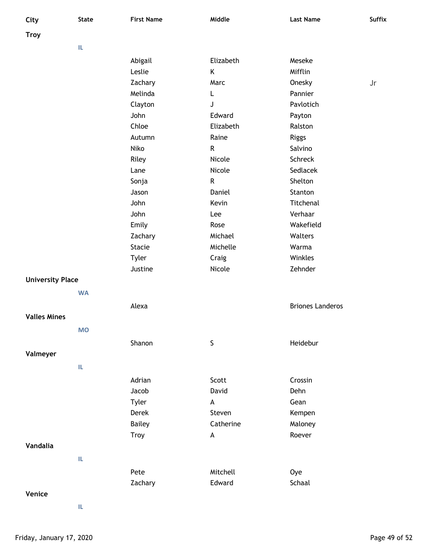| City                    | <b>State</b> | <b>First Name</b> | Middle      | <b>Last Name</b>        | Suffix |
|-------------------------|--------------|-------------------|-------------|-------------------------|--------|
| <b>Troy</b>             |              |                   |             |                         |        |
|                         | IL.          |                   |             |                         |        |
|                         |              | Abigail           | Elizabeth   | Meseke                  |        |
|                         |              | Leslie            | Κ           | Mifflin                 |        |
|                         |              | Zachary           | Marc        | Onesky                  | Jr     |
|                         |              | Melinda           | L           | Pannier                 |        |
|                         |              | Clayton           | J           | Pavlotich               |        |
|                         |              | John              | Edward      | Payton                  |        |
|                         |              | Chloe             | Elizabeth   | Ralston                 |        |
|                         |              | Autumn            | Raine       | <b>Riggs</b>            |        |
|                         |              | Niko              | R           | Salvino                 |        |
|                         |              | Riley             | Nicole      | Schreck                 |        |
|                         |              | Lane              | Nicole      | Sedlacek                |        |
|                         |              | Sonja             | R           | Shelton                 |        |
|                         |              | Jason             | Daniel      | Stanton                 |        |
|                         |              | John              | Kevin       | Titchenal               |        |
|                         |              | John              | Lee         | Verhaar                 |        |
|                         |              | Emily             | Rose        | Wakefield               |        |
|                         |              | Zachary           | Michael     | Walters                 |        |
|                         |              | Stacie            | Michelle    | Warma                   |        |
|                         |              | <b>Tyler</b>      | Craig       | Winkles                 |        |
|                         |              | Justine           | Nicole      | Zehnder                 |        |
| <b>University Place</b> |              |                   |             |                         |        |
|                         | <b>WA</b>    |                   |             |                         |        |
|                         |              | Alexa             |             | <b>Briones Landeros</b> |        |
| <b>Valles Mines</b>     |              |                   |             |                         |        |
|                         | <b>MO</b>    |                   |             |                         |        |
|                         |              |                   |             |                         |        |
|                         |              | Shanon            | $\mathsf S$ | Heidebur                |        |
| Valmeyer                |              |                   |             |                         |        |
|                         | IL.          |                   |             |                         |        |
|                         |              | Adrian            | Scott       | Crossin                 |        |
|                         |              | Jacob             | David       | Dehn                    |        |
|                         |              | Tyler             | A           | Gean                    |        |
|                         |              | <b>Derek</b>      | Steven      | Kempen                  |        |
|                         |              | <b>Bailey</b>     | Catherine   | Maloney                 |        |
|                         |              | Troy              | A           | Roever                  |        |
| Vandalia                |              |                   |             |                         |        |
|                         | IL           |                   |             |                         |        |
|                         |              | Pete              | Mitchell    | Oye                     |        |
|                         |              | Zachary           | Edward      | Schaal                  |        |
| Venice                  |              |                   |             |                         |        |
|                         |              |                   |             |                         |        |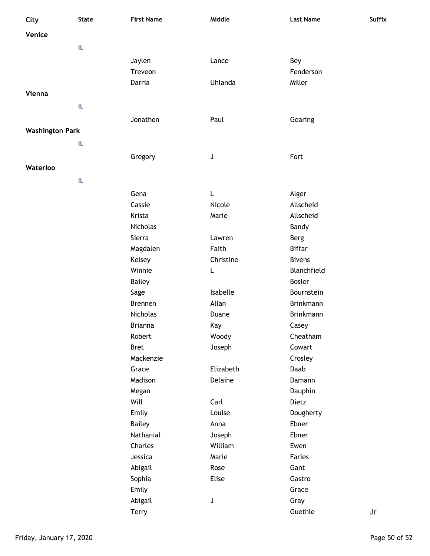| City                   | <b>State</b> | <b>First Name</b> | Middle    | <b>Last Name</b> | <b>Suffix</b>          |
|------------------------|--------------|-------------------|-----------|------------------|------------------------|
| Venice                 |              |                   |           |                  |                        |
|                        | IL.          |                   |           |                  |                        |
|                        |              | Jaylen            | Lance     |                  |                        |
|                        |              | Treveon           |           | Bey<br>Fenderson |                        |
|                        |              | Darria            |           | Miller           |                        |
| Vienna                 |              |                   | Uhlanda   |                  |                        |
|                        |              |                   |           |                  |                        |
|                        | IL.          |                   |           |                  |                        |
|                        |              | Jonathon          | Paul      | Gearing          |                        |
| <b>Washington Park</b> |              |                   |           |                  |                        |
|                        | IL           |                   |           |                  |                        |
|                        |              | Gregory           | J         | Fort             |                        |
| Waterloo               |              |                   |           |                  |                        |
|                        |              |                   |           |                  |                        |
|                        | IL.          |                   |           |                  |                        |
|                        |              | Gena              | L         | Alger            |                        |
|                        |              | Cassie            | Nicole    | Allscheid        |                        |
|                        |              | Krista            | Marie     | Allscheid        |                        |
|                        |              | Nicholas          |           | Bandy            |                        |
|                        |              | Sierra            | Lawren    | Berg             |                        |
|                        |              | Magdalen          | Faith     | <b>Biffar</b>    |                        |
|                        |              | Kelsey            | Christine | <b>Bivens</b>    |                        |
|                        |              | Winnie            | L         | Blanchfield      |                        |
|                        |              | <b>Bailey</b>     |           | <b>Bosler</b>    |                        |
|                        |              | Sage              | Isabelle  | Bournstein       |                        |
|                        |              | <b>Brennen</b>    | Allan     | Brinkmann        |                        |
|                        |              | Nicholas          | Duane     | Brinkmann        |                        |
|                        |              | <b>Brianna</b>    | Kay       | Casey            |                        |
|                        |              | Robert            | Woody     | Cheatham         |                        |
|                        |              | <b>Bret</b>       | Joseph    | Cowart           |                        |
|                        |              | Mackenzie         |           | Crosley          |                        |
|                        |              | Grace             | Elizabeth | Daab             |                        |
|                        |              | Madison           | Delaine   | Damann           |                        |
|                        |              | Megan             |           | Dauphin          |                        |
|                        |              | Will              | Carl      | Dietz            |                        |
|                        |              | Emily             | Louise    | Dougherty        |                        |
|                        |              | <b>Bailey</b>     | Anna      | Ebner            |                        |
|                        |              | Nathanial         | Joseph    | Ebner            |                        |
|                        |              | Charles           | William   | Ewen             |                        |
|                        |              | Jessica           | Marie     | Faries           |                        |
|                        |              | Abigail           | Rose      | Gant             |                        |
|                        |              | Sophia            | Elise     | Gastro           |                        |
|                        |              | Emily             |           | Grace            |                        |
|                        |              | Abigail           | J         | Gray             |                        |
|                        |              | <b>Terry</b>      |           | Guethle          | $\mathsf{J}\mathsf{r}$ |
|                        |              |                   |           |                  |                        |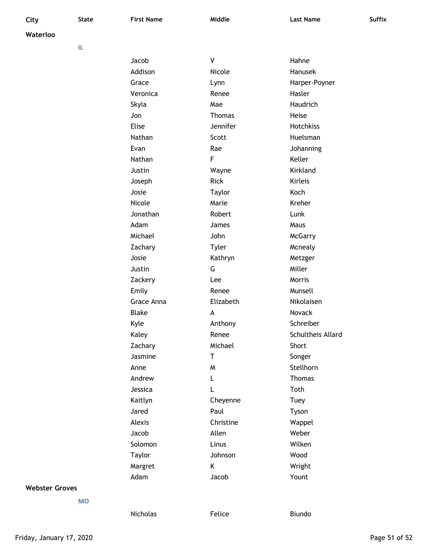| e e<br>×<br>۰.<br>× |  |
|---------------------|--|
| ۰.                  |  |

**Waterloo**

**IL**

| Jacob         | V             | Hahne             |
|---------------|---------------|-------------------|
| Addison       | Nicole        | Hanusek           |
| Grace         | Lynn          | Harper-Poyner     |
| Veronica      | Renee         | Hasler            |
| Skyla         | Mae           | Haudrich          |
| Jon           | <b>Thomas</b> | Heise             |
| Elise         | Jennifer      | <b>Hotchkiss</b>  |
| Nathan        | Scott         | Huelsman          |
| Evan          | Rae           | Johanning         |
| Nathan        | F             | Keller            |
| Justin        | Wayne         | Kirkland          |
| Joseph        | <b>Rick</b>   | <b>Kirleis</b>    |
| Josie         | Taylor        | Koch              |
| Nicole        | Marie         | Kreher            |
| Jonathan      | Robert        | Lunk              |
| Adam          | James         | Maus              |
| Michael       | John          | <b>McGarry</b>    |
| Zachary       | Tyler         | Mcnealy           |
| Josie         | Kathryn       | Metzger           |
| Justin        | G             | Miller            |
| Zackery       | Lee           | Morris            |
| Emily         | Renee         | Munsell           |
| Grace Anna    | Elizabeth     | Nikolaisen        |
| <b>Blake</b>  | A             | Novack            |
| Kyle          | Anthony       | Schreiber         |
| Kaley         | Renee         | Schultheis Allard |
| Zachary       | Michael       | Short             |
| Jasmine       | T             | Songer            |
| Anne          | W             | Stellhorn         |
| Andrew        | L             | <b>Thomas</b>     |
| Jessica       | L             | Toth              |
| Kaitlyn       | Cheyenne      | Tuey              |
| Jared         | Paul          | Tyson             |
| Alexis        | Christine     | Wappel            |
| Jacob         | Allen         | Weber             |
| Solomon       | Linus         | Wilken            |
| <b>Taylor</b> | Johnson       | Wood              |
| Margret       | Κ             | Wright            |
| Adam          | Jacob         | Yount             |
|               |               |                   |

Nicholas Felice Biundo

**Webster Groves**

**MO**